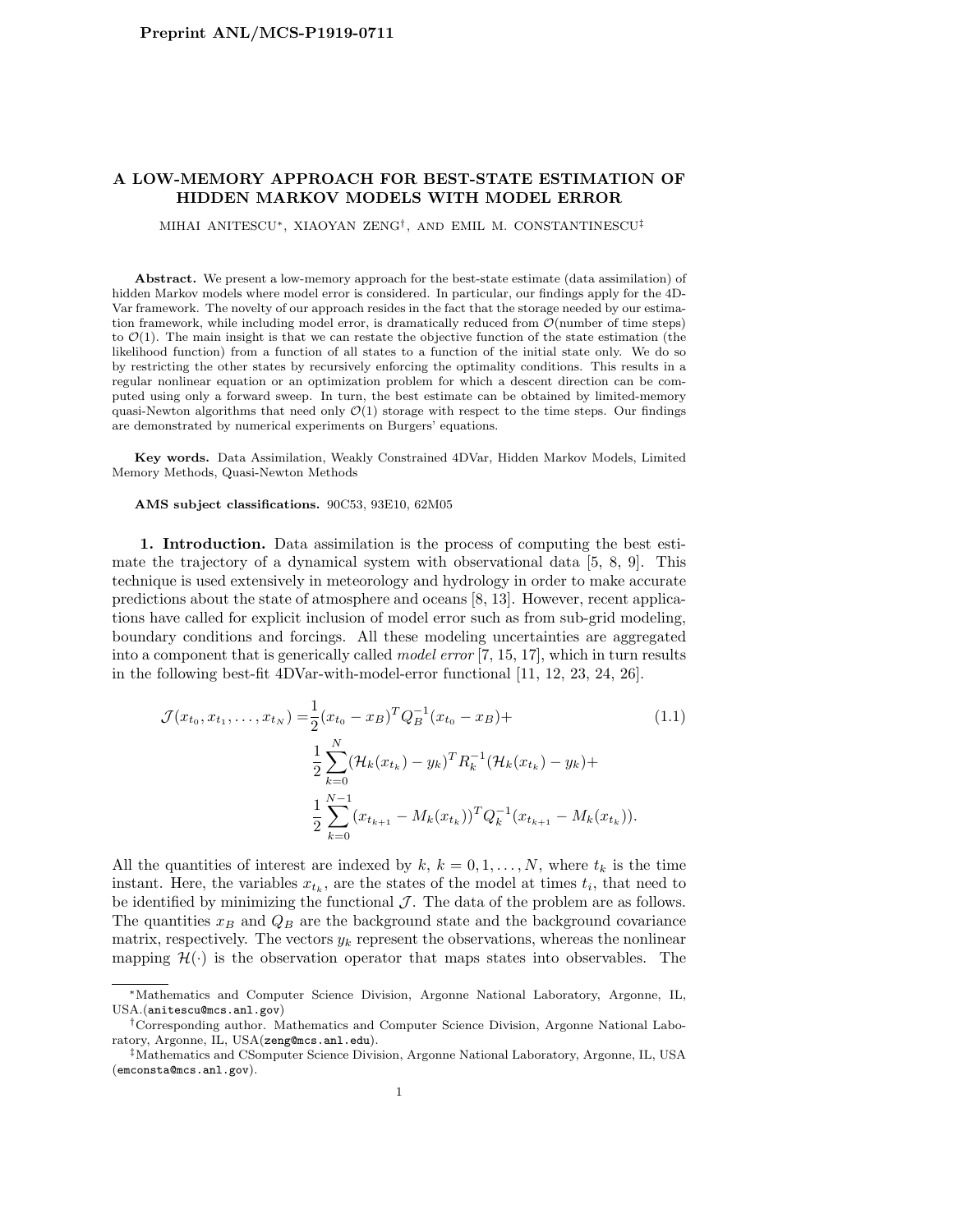## A LOW-MEMORY APPROACH FOR BEST-STATE ESTIMATION OF HIDDEN MARKOV MODELS WITH MODEL ERROR

MIHAI ANITESCU∗, XIAOYAN ZENG† , AND EMIL M. CONSTANTINESCU‡

Abstract. We present a low-memory approach for the best-state estimate (data assimilation) of hidden Markov models where model error is considered. In particular, our findings apply for the 4D-Var framework. The novelty of our approach resides in the fact that the storage needed by our estimation framework, while including model error, is dramatically reduced from  $\mathcal{O}(\text{number of time steps})$ to  $\mathcal{O}(1)$ . The main insight is that we can restate the objective function of the state estimation (the likelihood function) from a function of all states to a function of the initial state only. We do so by restricting the other states by recursively enforcing the optimality conditions. This results in a regular nonlinear equation or an optimization problem for which a descent direction can be computed using only a forward sweep. In turn, the best estimate can be obtained by limited-memory quasi-Newton algorithms that need only  $\mathcal{O}(1)$  storage with respect to the time steps. Our findings are demonstrated by numerical experiments on Burgers' equations.

Key words. Data Assimilation, Weakly Constrained 4DVar, Hidden Markov Models, Limited Memory Methods, Quasi-Newton Methods

AMS subject classifications. 90C53, 93E10, 62M05

1. Introduction. Data assimilation is the process of computing the best estimate the trajectory of a dynamical system with observational data [5, 8, 9]. This technique is used extensively in meteorology and hydrology in order to make accurate predictions about the state of atmosphere and oceans [8, 13]. However, recent applications have called for explicit inclusion of model error such as from sub-grid modeling, boundary conditions and forcings. All these modeling uncertainties are aggregated into a component that is generically called model error [7, 15, 17], which in turn results in the following best-fit 4DVar-with-model-error functional [11, 12, 23, 24, 26].

$$
\mathcal{J}(x_{t_0}, x_{t_1}, \dots, x_{t_N}) = \frac{1}{2} (x_{t_0} - x_B)^T Q_B^{-1} (x_{t_0} - x_B) +
$$
\n
$$
\frac{1}{2} \sum_{k=0}^N (\mathcal{H}_k (x_{t_k}) - y_k)^T R_k^{-1} (\mathcal{H}_k (x_{t_k}) - y_k) +
$$
\n
$$
\frac{1}{2} \sum_{k=0}^{N-1} (x_{t_{k+1}} - M_k (x_{t_k}))^T Q_k^{-1} (x_{t_{k+1}} - M_k (x_{t_k})).
$$
\n(1.1)

All the quantities of interest are indexed by  $k, k = 0, 1, ..., N$ , where  $t_k$  is the time instant. Here, the variables  $x_{t_k}$ , are the states of the model at times  $t_i$ , that need to be identified by minimizing the functional  $\mathcal J$ . The data of the problem are as follows. The quantities  $x_B$  and  $Q_B$  are the background state and the background covariance matrix, respectively. The vectors  $y_k$  represent the observations, whereas the nonlinear mapping  $\mathcal{H}(\cdot)$  is the observation operator that maps states into observables. The

<sup>∗</sup>Mathematics and Computer Science Division, Argonne National Laboratory, Argonne, IL, USA.(anitescu@mcs.anl.gov)

<sup>†</sup>Corresponding author. Mathematics and Computer Science Division, Argonne National Laboratory, Argonne, IL, USA(zeng@mcs.anl.edu).

<sup>‡</sup>Mathematics and CSomputer Science Division, Argonne National Laboratory, Argonne, IL, USA (emconsta@mcs.anl.gov).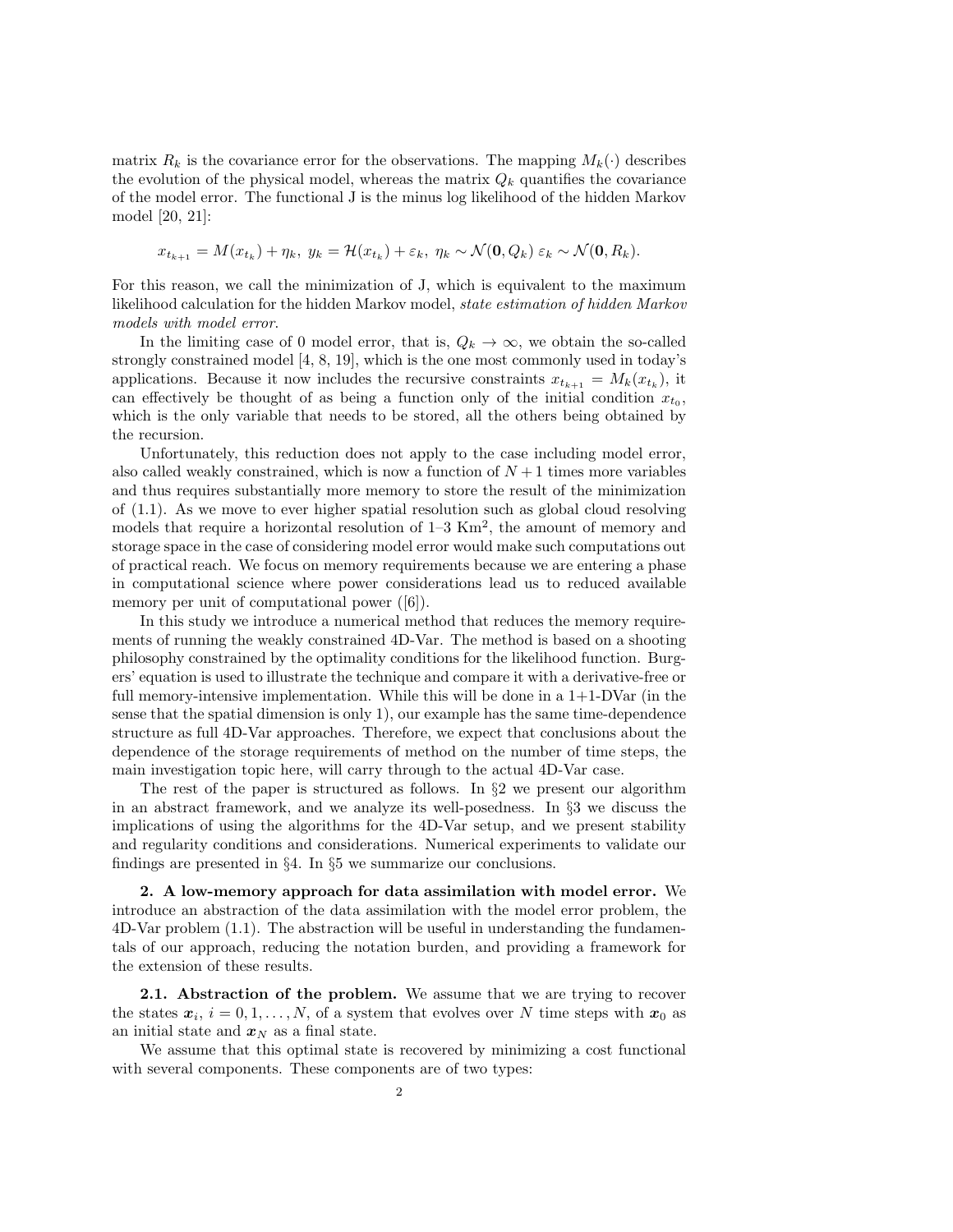matrix  $R_k$  is the covariance error for the observations. The mapping  $M_k(\cdot)$  describes the evolution of the physical model, whereas the matrix  $Q_k$  quantifies the covariance of the model error. The functional J is the minus log likelihood of the hidden Markov model [20, 21]:

$$
x_{t_{k+1}} = M(x_{t_k}) + \eta_k, \ y_k = \mathcal{H}(x_{t_k}) + \varepsilon_k, \ \eta_k \sim \mathcal{N}(\mathbf{0}, Q_k) \ \varepsilon_k \sim \mathcal{N}(\mathbf{0}, R_k).
$$

For this reason, we call the minimization of J, which is equivalent to the maximum likelihood calculation for the hidden Markov model, state estimation of hidden Markov models with model error.

In the limiting case of 0 model error, that is,  $Q_k \to \infty$ , we obtain the so-called strongly constrained model [4, 8, 19], which is the one most commonly used in today's applications. Because it now includes the recursive constraints  $x_{t_{k+1}} = M_k(x_{t_k})$ , it can effectively be thought of as being a function only of the initial condition  $x_{t_0}$ , which is the only variable that needs to be stored, all the others being obtained by the recursion.

Unfortunately, this reduction does not apply to the case including model error, also called weakly constrained, which is now a function of  $N+1$  times more variables and thus requires substantially more memory to store the result of the minimization of (1.1). As we move to ever higher spatial resolution such as global cloud resolving models that require a horizontal resolution of  $1-3 \text{ Km}^2$ , the amount of memory and storage space in the case of considering model error would make such computations out of practical reach. We focus on memory requirements because we are entering a phase in computational science where power considerations lead us to reduced available memory per unit of computational power ([6]).

In this study we introduce a numerical method that reduces the memory requirements of running the weakly constrained 4D-Var. The method is based on a shooting philosophy constrained by the optimality conditions for the likelihood function. Burgers' equation is used to illustrate the technique and compare it with a derivative-free or full memory-intensive implementation. While this will be done in a  $1+1-D\text{Var}$  (in the sense that the spatial dimension is only 1), our example has the same time-dependence structure as full 4D-Var approaches. Therefore, we expect that conclusions about the dependence of the storage requirements of method on the number of time steps, the main investigation topic here, will carry through to the actual 4D-Var case.

The rest of the paper is structured as follows. In  $\S 2$  we present our algorithm in an abstract framework, and we analyze its well-posedness. In §3 we discuss the implications of using the algorithms for the 4D-Var setup, and we present stability and regularity conditions and considerations. Numerical experiments to validate our findings are presented in §4. In §5 we summarize our conclusions.

2. A low-memory approach for data assimilation with model error. We introduce an abstraction of the data assimilation with the model error problem, the 4D-Var problem (1.1). The abstraction will be useful in understanding the fundamentals of our approach, reducing the notation burden, and providing a framework for the extension of these results.

2.1. Abstraction of the problem. We assume that we are trying to recover the states  $x_i$ ,  $i = 0, 1, ..., N$ , of a system that evolves over N time steps with  $x_0$  as an initial state and  $x_N$  as a final state.

We assume that this optimal state is recovered by minimizing a cost functional with several components. These components are of two types: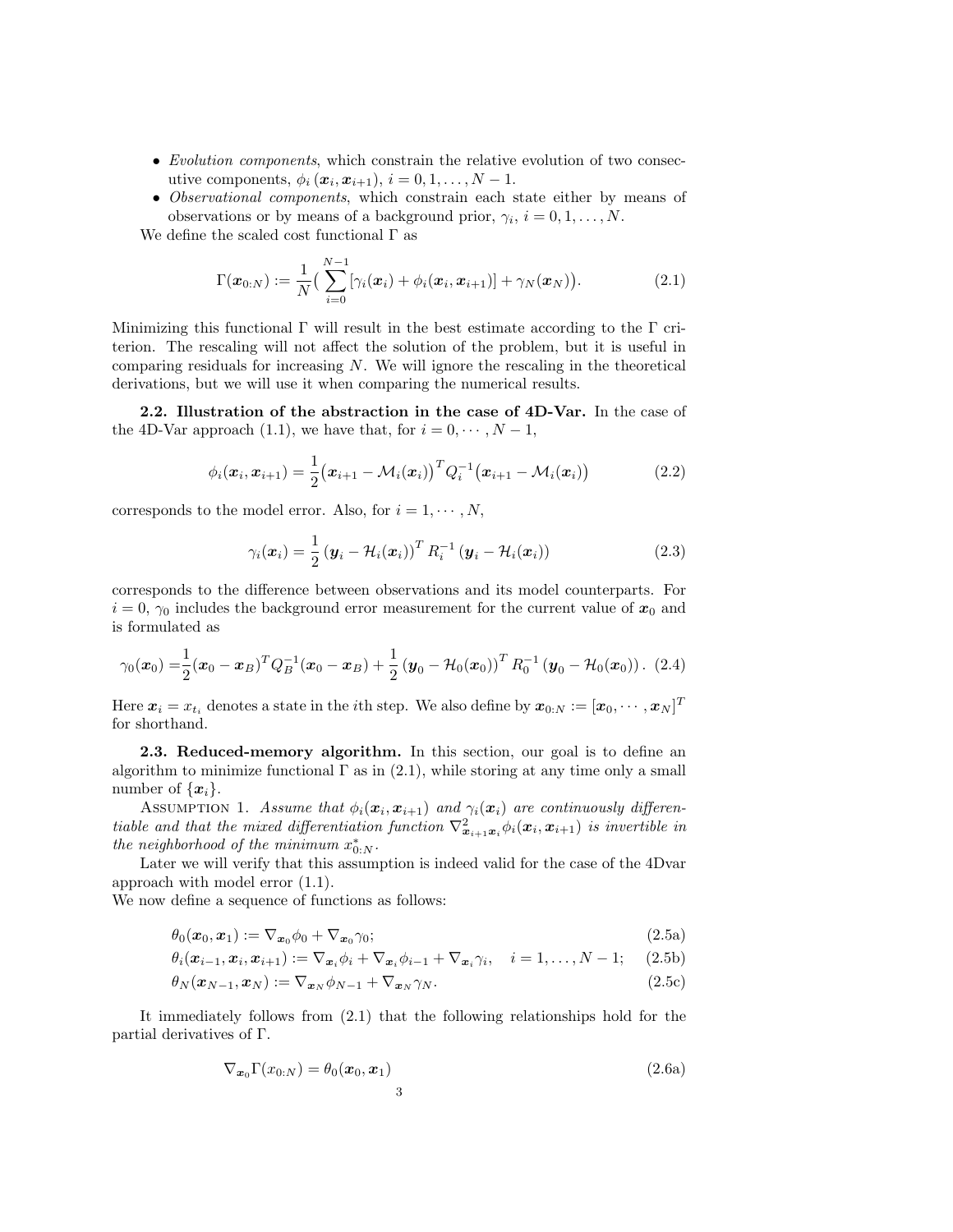- Evolution components, which constrain the relative evolution of two consecutive components,  $\phi_i(\boldsymbol{x}_i, \boldsymbol{x}_{i+1}), i = 0, 1, \ldots, N - 1.$
- Observational components, which constrain each state either by means of observations or by means of a background prior,  $\gamma_i$ ,  $i = 0, 1, \ldots, N$ .

We define the scaled cost functional  $\Gamma$  as

$$
\Gamma(\boldsymbol{x}_{0:N}) := \frac{1}{N} \big( \sum_{i=0}^{N-1} [\gamma_i(\boldsymbol{x}_i) + \phi_i(\boldsymbol{x}_i, \boldsymbol{x}_{i+1})] + \gamma_N(\boldsymbol{x}_N) \big).
$$
 (2.1)

Minimizing this functional  $\Gamma$  will result in the best estimate according to the  $\Gamma$  criterion. The rescaling will not affect the solution of the problem, but it is useful in comparing residuals for increasing  $N$ . We will ignore the rescaling in the theoretical derivations, but we will use it when comparing the numerical results.

2.2. Illustration of the abstraction in the case of 4D-Var. In the case of the 4D-Var approach (1.1), we have that, for  $i = 0, \dots, N - 1$ ,

$$
\phi_i(\mathbf{x}_i, \mathbf{x}_{i+1}) = \frac{1}{2} (\mathbf{x}_{i+1} - \mathcal{M}_i(\mathbf{x}_i))^T Q_i^{-1} (\mathbf{x}_{i+1} - \mathcal{M}_i(\mathbf{x}_i))
$$
(2.2)

corresponds to the model error. Also, for  $i = 1, \dots, N$ ,

$$
\gamma_i(\boldsymbol{x}_i) = \frac{1}{2} \left( \boldsymbol{y}_i - \mathcal{H}_i(\boldsymbol{x}_i) \right)^T R_i^{-1} \left( \boldsymbol{y}_i - \mathcal{H}_i(\boldsymbol{x}_i) \right) \tag{2.3}
$$

corresponds to the difference between observations and its model counterparts. For  $i = 0, \gamma_0$  includes the background error measurement for the current value of  $x_0$  and is formulated as

$$
\gamma_0(\boldsymbol{x}_0) = \frac{1}{2}(\boldsymbol{x}_0 - \boldsymbol{x}_B)^T Q_B^{-1}(\boldsymbol{x}_0 - \boldsymbol{x}_B) + \frac{1}{2}(\boldsymbol{y}_0 - \mathcal{H}_0(\boldsymbol{x}_0))^T R_0^{-1}(\boldsymbol{y}_0 - \mathcal{H}_0(\boldsymbol{x}_0)).
$$
 (2.4)

Here  $\bm{x}_i = x_{t_i}$  denotes a state in the  $i$ th step. We also define by  $\bm{x}_{0:N} := [\bm{x}_0, \cdots, \bm{x}_N]^T$ for shorthand.

2.3. Reduced-memory algorithm. In this section, our goal is to define an algorithm to minimize functional  $\Gamma$  as in (2.1), while storing at any time only a small number of  $\{x_i\}$ .

ASSUMPTION 1. Assume that  $\phi_i(\mathbf{x}_i, \mathbf{x}_{i+1})$  and  $\gamma_i(\mathbf{x}_i)$  are continuously differentiable and that the mixed differentiation function  $\nabla^2_{\mathbf{x}_{i+1},\mathbf{x}_i} \phi_i(\mathbf{x}_i, \mathbf{x}_{i+1})$  is invertible in the neighborhood of the minimum  $x_{0:N}^*$ .

Later we will verify that this assumption is indeed valid for the case of the 4Dvar approach with model error (1.1).

We now define a sequence of functions as follows:

$$
\theta_0(\boldsymbol{x}_0, \boldsymbol{x}_1) := \nabla_{\boldsymbol{x}_0} \phi_0 + \nabla_{\boldsymbol{x}_0} \gamma_0; \tag{2.5a}
$$

$$
\theta_i(\boldsymbol{x}_{i-1},\boldsymbol{x}_i,\boldsymbol{x}_{i+1}) := \nabla_{\boldsymbol{x}_i} \phi_i + \nabla_{\boldsymbol{x}_i} \phi_{i-1} + \nabla_{\boldsymbol{x}_i} \gamma_i, \quad i = 1,\ldots,N-1; \quad (2.5b)
$$

$$
\theta_N(\boldsymbol{x}_{N-1}, \boldsymbol{x}_N) := \nabla_{\boldsymbol{x}_N} \phi_{N-1} + \nabla_{\boldsymbol{x}_N} \gamma_N.
$$
\n(2.5c)

It immediately follows from (2.1) that the following relationships hold for the partial derivatives of Γ.

$$
\nabla_{\boldsymbol{x}_0} \Gamma(x_{0:N}) = \theta_0(\boldsymbol{x}_0, \boldsymbol{x}_1)
$$
\n<sup>3</sup>\n(2.6a)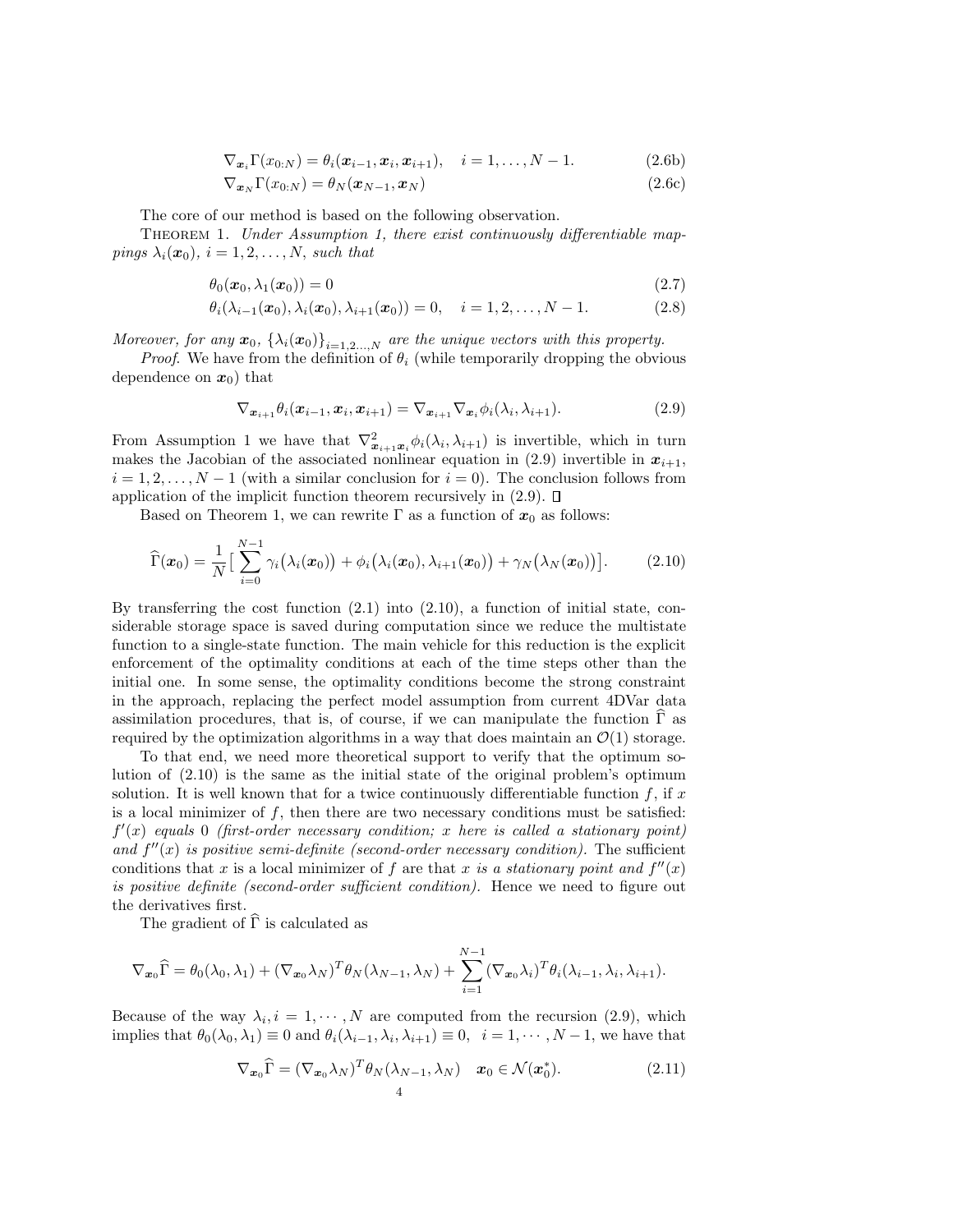$\nabla_{\mathbf{x}_i} \Gamma(x_{0:N}) = \theta_i(\mathbf{x}_{i-1}, \mathbf{x}_i, \mathbf{x}_{i+1}), \quad i = 1, \dots, N-1.$  (2.6b)

$$
\nabla_{\boldsymbol{x}_N} \Gamma(x_{0:N}) = \theta_N(\boldsymbol{x}_{N-1}, \boldsymbol{x}_N)
$$
\n(2.6c)

The core of our method is based on the following observation.

THEOREM 1. Under Assumption 1, there exist continuously differentiable mappings  $\lambda_i(\mathbf{x}_0)$ ,  $i = 1, 2, ..., N$ , such that

$$
\theta_0(\boldsymbol{x}_0, \lambda_1(\boldsymbol{x}_0)) = 0 \tag{2.7}
$$

$$
\theta_i(\lambda_{i-1}(\boldsymbol{x}_0), \lambda_i(\boldsymbol{x}_0), \lambda_{i+1}(\boldsymbol{x}_0)) = 0, \quad i = 1, 2, \dots, N-1.
$$
 (2.8)

Moreover, for any  $x_0$ ,  $\{\lambda_i(x_0)\}_{i=1,2,...,N}$  are the unique vectors with this property.

*Proof.* We have from the definition of  $\theta_i$  (while temporarily dropping the obvious dependence on  $x_0$ ) that

$$
\nabla_{\boldsymbol{x}_{i+1}} \theta_i(\boldsymbol{x}_{i-1}, \boldsymbol{x}_i, \boldsymbol{x}_{i+1}) = \nabla_{\boldsymbol{x}_{i+1}} \nabla_{\boldsymbol{x}_i} \phi_i(\lambda_i, \lambda_{i+1}). \tag{2.9}
$$

From Assumption 1 we have that  $\nabla^2_{x_{i+1},x_i} \phi_i(\lambda_i,\lambda_{i+1})$  is invertible, which in turn makes the Jacobian of the associated nonlinear equation in (2.9) invertible in  $x_{i+1}$ ,  $i = 1, 2, \ldots, N - 1$  (with a similar conclusion for  $i = 0$ ). The conclusion follows from application of the implicit function theorem recursively in  $(2.9)$ .  $\Box$ 

Based on Theorem 1, we can rewrite  $\Gamma$  as a function of  $x_0$  as follows:

$$
\widehat{\Gamma}(\boldsymbol{x}_0) = \frac{1}{N} \Big[ \sum_{i=0}^{N-1} \gamma_i(\lambda_i(\boldsymbol{x}_0)) + \phi_i(\lambda_i(\boldsymbol{x}_0), \lambda_{i+1}(\boldsymbol{x}_0)) + \gamma_N(\lambda_N(\boldsymbol{x}_0)) \Big]. \tag{2.10}
$$

By transferring the cost function  $(2.1)$  into  $(2.10)$ , a function of initial state, considerable storage space is saved during computation since we reduce the multistate function to a single-state function. The main vehicle for this reduction is the explicit enforcement of the optimality conditions at each of the time steps other than the initial one. In some sense, the optimality conditions become the strong constraint in the approach, replacing the perfect model assumption from current 4DVar data assimilation procedures, that is, of course, if we can manipulate the function  $\Gamma$  as required by the optimization algorithms in a way that does maintain an  $\mathcal{O}(1)$  storage.

To that end, we need more theoretical support to verify that the optimum solution of (2.10) is the same as the initial state of the original problem's optimum solution. It is well known that for a twice continuously differentiable function  $f$ , if  $x$ is a local minimizer of  $f$ , then there are two necessary conditions must be satisfied:  $f'(x)$  equals 0 (first-order necessary condition; x here is called a stationary point) and  $f''(x)$  is positive semi-definite (second-order necessary condition). The sufficient conditions that x is a local minimizer of f are that x is a stationary point and  $f''(x)$ is positive definite (second-order sufficient condition). Hence we need to figure out the derivatives first.

The gradient of  $\widehat{\Gamma}$  is calculated as

$$
\nabla_{\boldsymbol{x}_0} \widehat{\boldsymbol{\Gamma}} = \theta_0(\lambda_0, \lambda_1) + (\nabla_{\boldsymbol{x}_0} \lambda_N)^T \theta_N(\lambda_{N-1}, \lambda_N) + \sum_{i=1}^{N-1} (\nabla_{\boldsymbol{x}_0} \lambda_i)^T \theta_i(\lambda_{i-1}, \lambda_i, \lambda_{i+1}).
$$

Because of the way  $\lambda_i, i = 1, \dots, N$  are computed from the recursion (2.9), which implies that  $\theta_0(\lambda_0, \lambda_1) \equiv 0$  and  $\theta_i(\lambda_{i-1}, \lambda_i, \lambda_{i+1}) \equiv 0$ ,  $i = 1, \dots, N-1$ , we have that

$$
\nabla_{\boldsymbol{x}_0} \widehat{\boldsymbol{\Gamma}} = (\nabla_{\boldsymbol{x}_0} \lambda_N)^T \theta_N (\lambda_{N-1}, \lambda_N) \quad \boldsymbol{x}_0 \in \mathcal{N}(\boldsymbol{x}_0^*).
$$
 (2.11)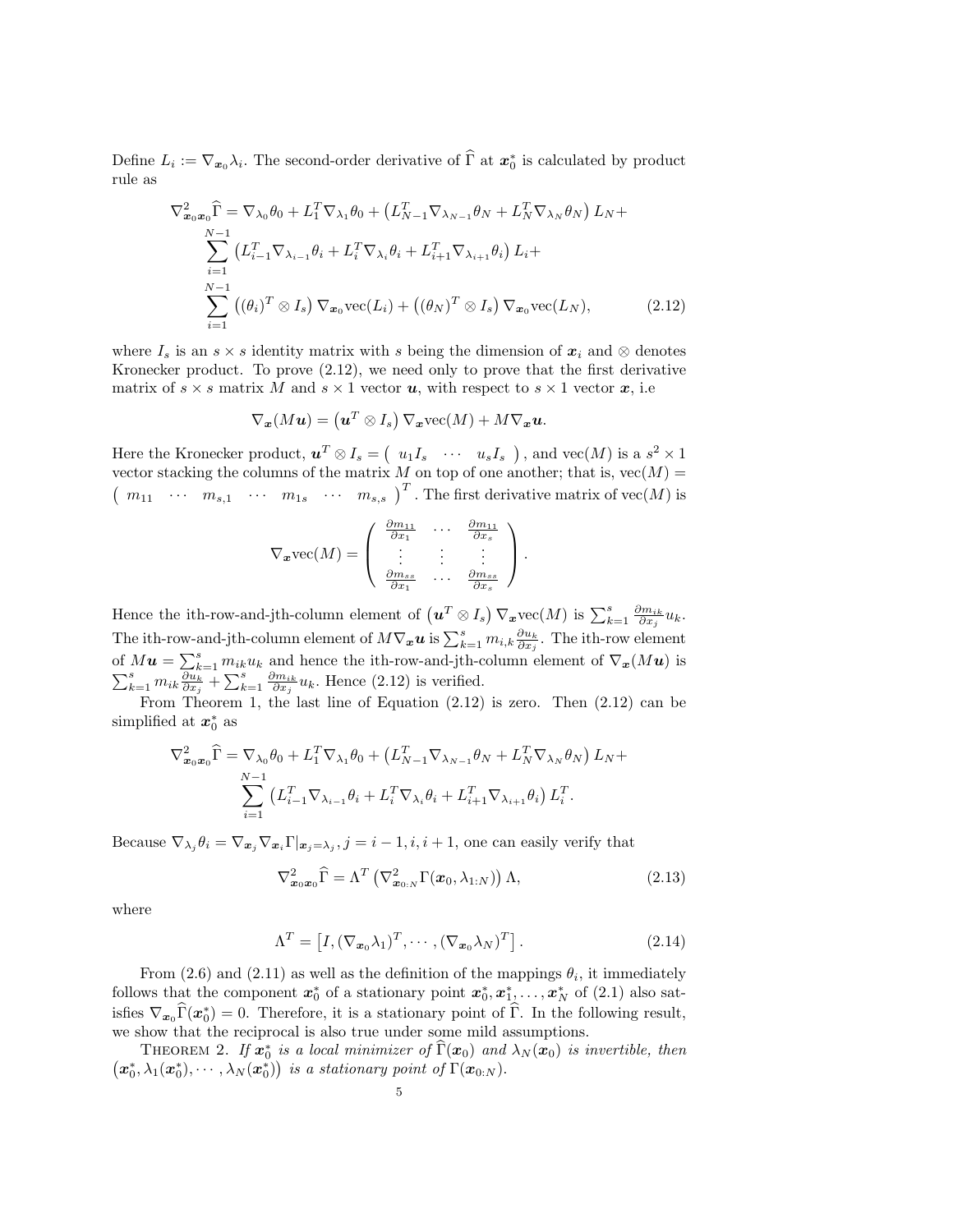Define  $L_i := \nabla_{x_0} \lambda_i$ . The second-order derivative of  $\widehat{\Gamma}$  at  $x_0^*$  is calculated by product rule as

$$
\nabla_{\boldsymbol{x}_0 \boldsymbol{x}_0}^2 \widehat{\Gamma} = \nabla_{\lambda_0} \theta_0 + L_1^T \nabla_{\lambda_1} \theta_0 + \left( L_{N-1}^T \nabla_{\lambda_{N-1}} \theta_N + L_N^T \nabla_{\lambda_N} \theta_N \right) L_N + \sum_{i=1}^{N-1} \left( L_{i-1}^T \nabla_{\lambda_{i-1}} \theta_i + L_i^T \nabla_{\lambda_i} \theta_i + L_{i+1}^T \nabla_{\lambda_{i+1}} \theta_i \right) L_i + \sum_{i=1}^{N-1} \left( (\theta_i)^T \otimes I_s \right) \nabla_{\boldsymbol{x}_0} \text{vec}(L_i) + \left( (\theta_N)^T \otimes I_s \right) \nabla_{\boldsymbol{x}_0} \text{vec}(L_N), \tag{2.12}
$$

where  $I_s$  is an  $s \times s$  identity matrix with s being the dimension of  $x_i$  and  $\otimes$  denotes Kronecker product. To prove (2.12), we need only to prove that the first derivative matrix of  $s \times s$  matrix M and  $s \times 1$  vector u, with respect to  $s \times 1$  vector x, i.e

$$
\nabla_{\boldsymbol{x}}(M\boldsymbol{u}) = \left(\boldsymbol{u}^T\otimes I_s\right)\nabla_{\boldsymbol{x}}\text{vec}(M) + M\nabla_{\boldsymbol{x}}\boldsymbol{u}.
$$

Here the Kronecker product,  $u^T \otimes I_s = (u_1 I_s \cdots u_s I_s)$ , and  $vec(M)$  is a  $s^2 \times 1$ vector stacking the columns of the matrix M on top of one another; that is,  $vec(M)$  =  $\left(m_{11} \cdots m_{s,1} \cdots m_{1s} \cdots m_{s,s}\right)^T$ . The first derivative matrix of vec $(M)$  is

$$
\nabla_{\mathbf{x}} \text{vec}(M) = \begin{pmatrix} \frac{\partial m_{11}}{\partial x_1} & \cdots & \frac{\partial m_{11}}{\partial x_s} \\ \vdots & \vdots & \vdots \\ \frac{\partial m_{ss}}{\partial x_1} & \cdots & \frac{\partial m_{ss}}{\partial x_s} \end{pmatrix}.
$$

Hence the ith-row-and-jth-column element of  $(u^T \otimes I_s) \nabla_x \text{vec}(M)$  is  $\sum_{k=1}^s \frac{\partial m_{ik}}{\partial x_j} u_k$ . The ith-row-and-jth-column element of  $M\nabla_x u$  is  $\sum_{k=1}^s m_{i,k} \frac{\partial u_k}{\partial x_j}$ . The ith-row element of  $M\mathbf{u} = \sum_{k=1}^{s} m_{ik}u_k$  and hence the ith-row-and-jth-column element of  $\nabla_{\mathbf{x}}(M\mathbf{u})$  is  $\sum_{k=1}^{s} m_{ik} \frac{\partial u_k}{\partial x_j} + \sum_{k=1}^{s} \frac{\partial m_{ik}}{\partial x_j} u_k$ . Hence (2.12) is verified.

From Theorem 1, the last line of Equation (2.12) is zero. Then (2.12) can be simplified at  $x_0^*$  as

$$
\nabla_{\mathbf{x}_0\mathbf{x}_0}^2 \widehat{\Gamma} = \nabla_{\lambda_0} \theta_0 + L_1^T \nabla_{\lambda_1} \theta_0 + \left( L_{N-1}^T \nabla_{\lambda_{N-1}} \theta_N + L_N^T \nabla_{\lambda_N} \theta_N \right) L_N + \sum_{i=1}^{N-1} \left( L_{i-1}^T \nabla_{\lambda_{i-1}} \theta_i + L_i^T \nabla_{\lambda_i} \theta_i + L_{i+1}^T \nabla_{\lambda_{i+1}} \theta_i \right) L_i^T.
$$

Because  $\nabla_{\lambda_j} \theta_i = \nabla_{\bm{x}_j} \nabla_{\bm{x}_i} \Gamma |_{\bm{x}_j = \lambda_j}, j = i - 1, i, i + 1$ , one can easily verify that

$$
\nabla_{\boldsymbol{x}_0 \boldsymbol{x}_0}^2 \widehat{\Gamma} = \Lambda^T \left( \nabla_{\boldsymbol{x}_{0:N}}^2 \Gamma(\boldsymbol{x}_0, \lambda_{1:N}) \right) \Lambda, \tag{2.13}
$$

where

$$
\Lambda^T = \left[I, (\nabla_{\mathbf{x}_0} \lambda_1)^T, \cdots, (\nabla_{\mathbf{x}_0} \lambda_N)^T\right].
$$
\n(2.14)

From (2.6) and (2.11) as well as the definition of the mappings  $\theta_i$ , it immediately follows that the component  $x_0^*$  of a stationary point  $x_0^*, x_1^*, \ldots, x_N^*$  of (2.1) also satisfies  $\nabla_{\mathbf{x}_0} \widehat{\Gamma}(\mathbf{x}_0^*) = 0$ . Therefore, it is a stationary point of  $\widehat{\Gamma}$ . In the following result, we show that the reciprocal is also true under some mild assumptions.

THEOREM 2. If  $\mathbf{x}_0^*$  is a local minimizer of  $\widehat{\Gamma}(\mathbf{x}_0)$  and  $\lambda_N(\mathbf{x}_0)$  is invertible, then  $(x_0^*, \lambda_1(x_0^*), \cdots, \lambda_N(x_0^*))$  is a stationary point of  $\Gamma(x_{0:N})$ .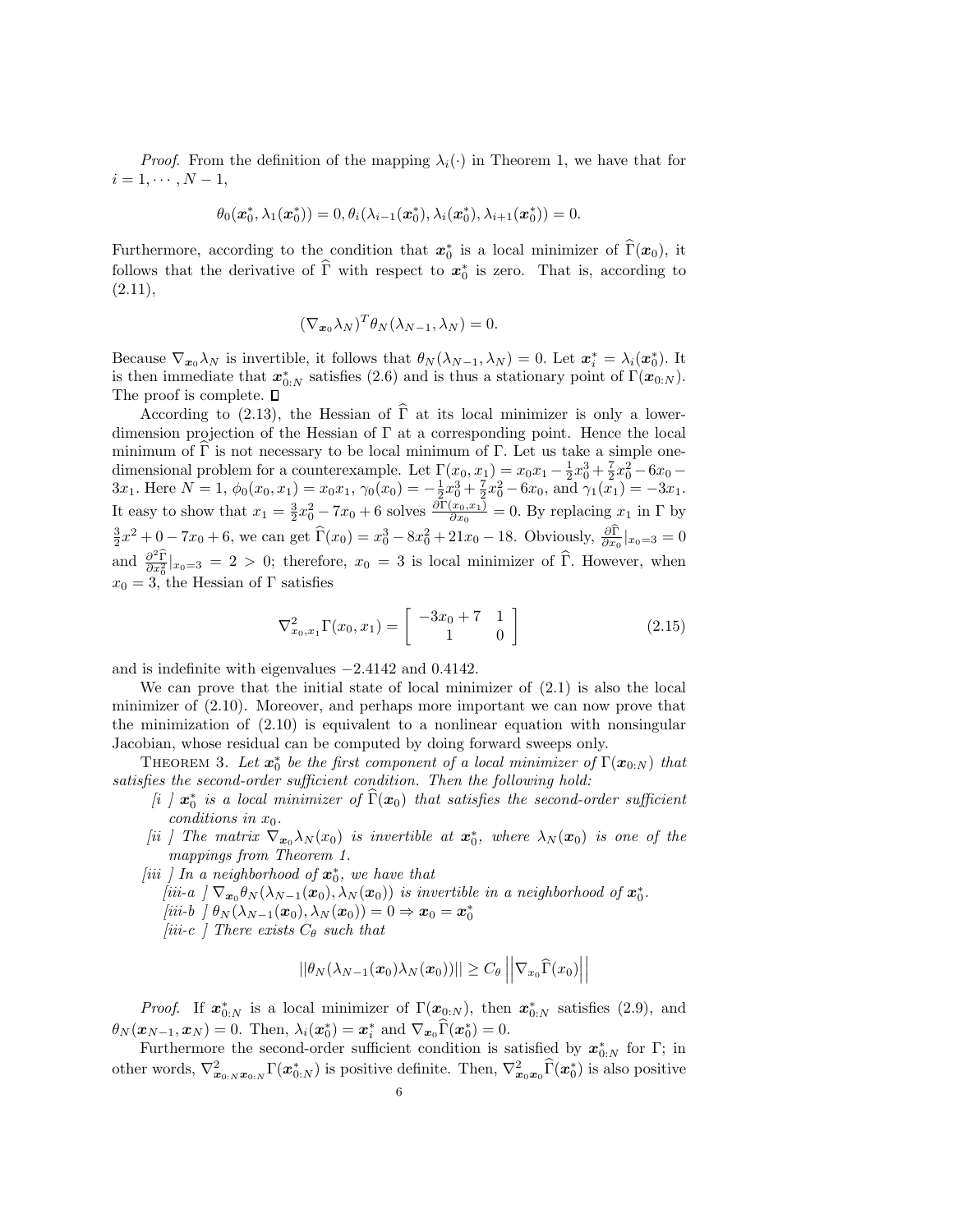*Proof.* From the definition of the mapping  $\lambda_i(\cdot)$  in Theorem 1, we have that for  $i = 1, \cdots, N - 1,$ 

$$
\theta_0(\mathbf{\bm{\bm{x}}}_0^*,\lambda_1(\mathbf{\bm{x}}_0^*))=0, \theta_i(\lambda_{i-1}(\mathbf{\bm{x}}_0^*),\lambda_i(\mathbf{\bm{x}}_0^*),\lambda_{i+1}(\mathbf{\bm{x}}_0^*))=0.
$$

Furthermore, according to the condition that  $x_0^*$  is a local minimizer of  $\widehat{\Gamma}(x_0)$ , it follows that the derivative of  $\hat{\Gamma}$  with respect to  $x_0^*$  is zero. That is, according to  $(2.11),$ 

$$
(\nabla_{\mathbf{x}_0} \lambda_N)^T \theta_N(\lambda_{N-1}, \lambda_N) = 0.
$$

Because  $\nabla_{\bm{x}_0} \lambda_N$  is invertible, it follows that  $\theta_N(\lambda_{N-1}, \lambda_N) = 0$ . Let  $\bm{x}_i^* = \lambda_i(\bm{x}_0^*)$ . It is then immediate that  $x_{0:N}^*$  satisfies (2.6) and is thus a stationary point of  $\Gamma(x_{0:N})$ . The proof is complete.  $\square$ 

According to (2.13), the Hessian of  $\hat{\Gamma}$  at its local minimizer is only a lowerdimension projection of the Hessian of Γ at a corresponding point. Hence the local minimum of  $\Gamma$  is not necessary to be local minimum of  $\Gamma$ . Let us take a simple onedimensional problem for a counterexample. Let  $\Gamma(x_0, x_1) = x_0x_1 - \frac{1}{2}x_0^3 + \frac{7}{2}x_0^2 - 6x_0 -$ 3x<sub>1</sub>. Here  $N = 1$ ,  $\phi_0(x_0, x_1) = x_0x_1$ ,  $\gamma_0(x_0) = -\frac{1}{2}x_0^3 + \frac{7}{2}x_0^2 - 6x_0$ , and  $\gamma_1(x_1) = -3x_1$ . It easy to show that  $x_1 = \frac{3}{2}x_0^2 - 7x_0 + 6$  solves  $\frac{\partial \Gamma(x_0, x_1)}{\partial x_0} = 0$ . By replacing  $x_1$  in  $\Gamma$  by  $\frac{3}{2}x^2 + 0 - 7x_0 + 6$ , we can get  $\widehat{\Gamma}(x_0) = x_0^3 - 8x_0^2 + 21x_0 - 18$ . Obviously,  $\frac{\partial \Gamma}{\partial x_0}|_{x_0=3} = 0$ and  $\frac{\partial^2 \hat{\Gamma}}{\partial x_0^2}|_{x_0=3} = 2 > 0$ ; therefore,  $x_0 = 3$  is local minimizer of  $\hat{\Gamma}$ . However, when  $x_0 = 3$ , the Hessian of Γ satisfies

$$
\nabla_{x_0, x_1}^2 \Gamma(x_0, x_1) = \begin{bmatrix} -3x_0 + 7 & 1\\ 1 & 0 \end{bmatrix}
$$
 (2.15)

and is indefinite with eigenvalues −2.4142 and 0.4142.

We can prove that the initial state of local minimizer of (2.1) is also the local minimizer of (2.10). Moreover, and perhaps more important we can now prove that the minimization of (2.10) is equivalent to a nonlinear equation with nonsingular Jacobian, whose residual can be computed by doing forward sweeps only.

THEOREM 3. Let  $x_0^*$  be the first component of a local minimizer of  $\Gamma(x_{0:N})$  that satisfies the second-order sufficient condition. Then the following hold:

- [i ]  $x_0^*$  is a local minimizer of  $\widehat{\Gamma}(x_0)$  that satisfies the second-order sufficient conditions in  $x_0$ .
- [ii ] The matrix  $\nabla_{\bm{x}_0} \lambda_N(x_0)$  is invertible at  $\bm{x}_0^*$ , where  $\lambda_N(\bm{x}_0)$  is one of the mappings from Theorem 1.
- [iii ] In a neighborhood of  $x_0^*$ , we have that
	- [iii-a ]  $\nabla_{\mathbf{x}_0} \theta_N(\lambda_{N-1}(\mathbf{x}_0), \lambda_N(\mathbf{x}_0))$  is invertible in a neighborhood of  $\mathbf{x}_0^*$ . [iii-b ]  $\theta_N(\lambda_{N-1}(\boldsymbol{x}_0), \lambda_N(\boldsymbol{x}_0)) = 0 \Rightarrow \boldsymbol{x}_0 = \boldsymbol{x}_0^*$
	- [iii-c ] There exists  $C_{\theta}$  such that

$$
||\theta_N(\lambda_{N-1}(\boldsymbol{x}_0)\lambda_N(\boldsymbol{x}_0))|| \geq C_\theta \left|\left|\nabla_{x_0}\widehat{\Gamma}(x_0)\right|\right|
$$

*Proof.* If  $x_{0:N}^*$  is a local minimizer of  $\Gamma(x_{0:N})$ , then  $x_{0:N}^*$  satisfies (2.9), and  $\theta_N(\boldsymbol{x}_{N-1},\boldsymbol{x}_N)=0.$  Then,  $\lambda_i(\boldsymbol{x}_0^*)=\boldsymbol{x}_i^*$  and  $\nabla_{\boldsymbol{x}_0}\widehat{\Gamma}(\boldsymbol{x}_0^*)=0.$ 

Furthermore the second-order sufficient condition is satisfied by  $x_{0:N}^*$  for  $\Gamma$ ; in other words,  $\nabla^2_{\bm{x}_{0:N}\bm{x}_{0:N}} \Gamma(\bm{x}_{0:N}^*)$  is positive definite. Then,  $\nabla^2_{\bm{x}_0\bm{x}_0} \widehat{\Gamma}(\bm{x}_0^*)$  is also positive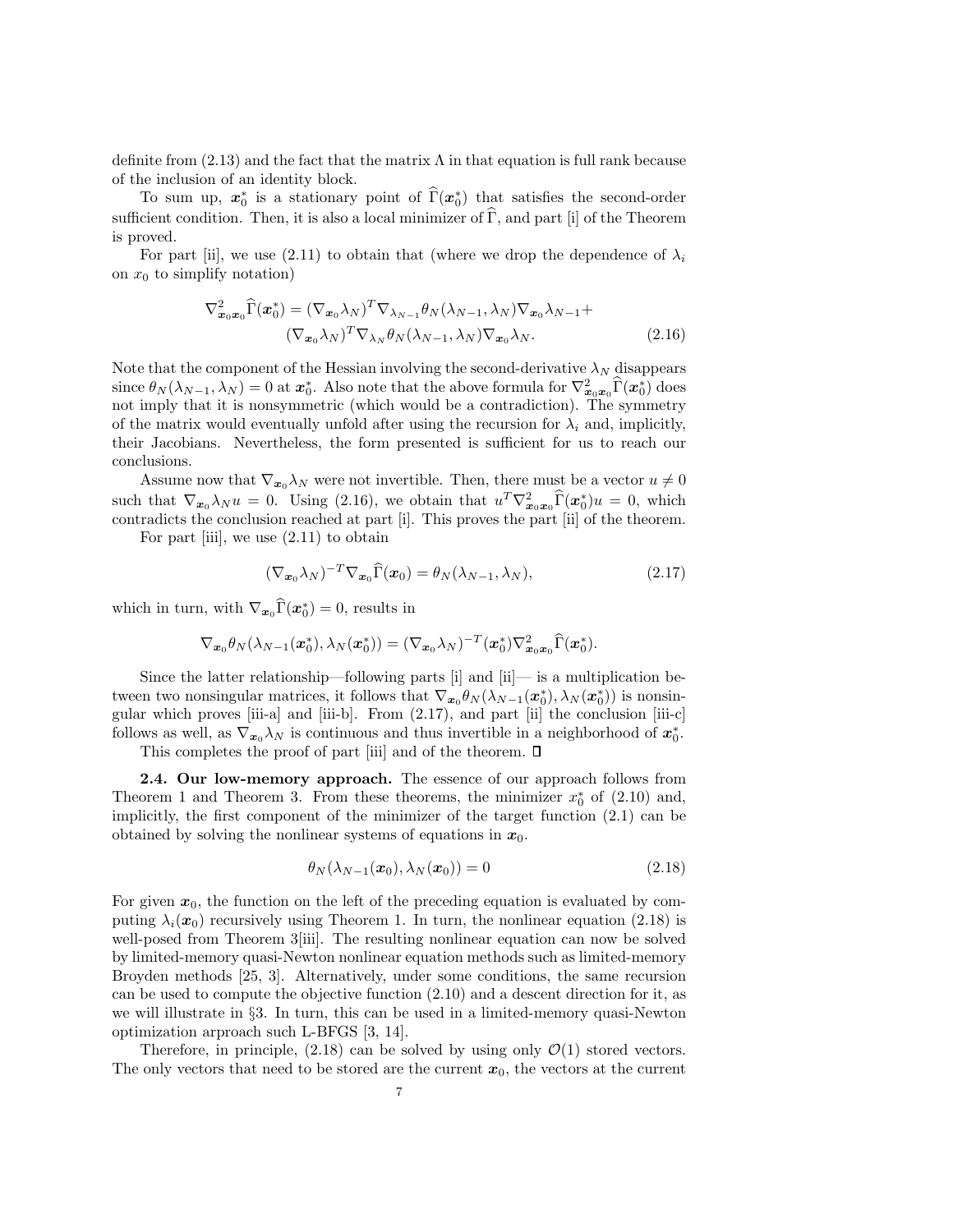definite from  $(2.13)$  and the fact that the matrix  $\Lambda$  in that equation is full rank because of the inclusion of an identity block.

To sum up,  $x_0^*$  is a stationary point of  $\widehat{\Gamma}(x_0^*)$  that satisfies the second-order sufficient condition. Then, it is also a local minimizer of  $\widehat{\Gamma}$ , and part [i] of the Theorem is proved.

For part [ii], we use (2.11) to obtain that (where we drop the dependence of  $\lambda_i$ on  $x_0$  to simplify notation)

$$
\nabla_{\boldsymbol{x}_0\boldsymbol{x}_0}^2 \widehat{\Gamma}(\boldsymbol{x}_0^*) = (\nabla_{\boldsymbol{x}_0} \lambda_N)^T \nabla_{\lambda_{N-1}} \theta_N(\lambda_{N-1}, \lambda_N) \nabla_{\boldsymbol{x}_0} \lambda_{N-1} + (\nabla_{\boldsymbol{x}_0} \lambda_N)^T \nabla_{\lambda_N} \theta_N(\lambda_{N-1}, \lambda_N) \nabla_{\boldsymbol{x}_0} \lambda_N.
$$
\n(2.16)

Note that the component of the Hessian involving the second-derivative  $\lambda_N$  disappears since  $\theta_N(\lambda_{N-1}, \lambda_N) = 0$  at  $\boldsymbol{x}_0^*$ . Also note that the above formula for  $\nabla^2_{\boldsymbol{x}_0 \boldsymbol{x}_0} \hat{\Gamma}(\boldsymbol{x}_0^*)$  does not imply that it is nonsymmetric (which would be a contradiction). The symmetry of the matrix would eventually unfold after using the recursion for  $\lambda_i$  and, implicitly, their Jacobians. Nevertheless, the form presented is sufficient for us to reach our conclusions.

Assume now that  $\nabla_{\boldsymbol{x}_0} \lambda_N$  were not invertible. Then, there must be a vector  $u \neq 0$ such that  $\nabla_{\mathbf{x}_0} \lambda_N u = 0$ . Using (2.16), we obtain that  $u^T \nabla^2_{\mathbf{x}_0 \mathbf{x}_0} \widehat{\Gamma}(\mathbf{x}_0^*) u = 0$ , which contradicts the conclusion reached at part [i]. This proves the part [ii] of the theorem.

For part [iii], we use (2.11) to obtain

$$
(\nabla_{\boldsymbol{x}_0} \lambda_N)^{-T} \nabla_{\boldsymbol{x}_0} \widehat{\Gamma}(\boldsymbol{x}_0) = \theta_N(\lambda_{N-1}, \lambda_N), \qquad (2.17)
$$

which in turn, with  $\nabla_{\boldsymbol{x}_0} \widehat{\Gamma}(\boldsymbol{x}_0^*) = 0$ , results in

$$
\nabla_{\boldsymbol{x}_0}\theta_N(\lambda_{N-1}(\boldsymbol{x}_0^*),\lambda_N(\boldsymbol{x}_0^*)) = (\nabla_{\boldsymbol{x}_0}\lambda_N)^{-T}(\boldsymbol{x}_0^*)\nabla_{\boldsymbol{x}_0\boldsymbol{x}_0}^2\widehat{\Gamma}(\boldsymbol{x}_0^*).
$$

Since the latter relationship—following parts  $[i]$  and  $[i]$ — is a multiplication between two nonsingular matrices, it follows that  $\nabla_{x_0} \theta_N(\lambda_{N-1}(\mathbf{x}_0^*), \lambda_N(\mathbf{x}_0^*))$  is nonsingular which proves  $[iii-a]$  and  $[iii-b]$ . From  $(2.17)$ , and part  $[iii]$  the conclusion  $[iii-c]$ follows as well, as  $\nabla_{x_0} \lambda_N$  is continuous and thus invertible in a neighborhood of  $x_0^*$ .

This completes the proof of part [iii] and of the theorem.  $\square$ 

**2.4. Our low-memory approach.** The essence of our approach follows from Theorem 1 and Theorem 3. From these theorems, the minimizer  $x_0^*$  of (2.10) and, implicitly, the first component of the minimizer of the target function (2.1) can be obtained by solving the nonlinear systems of equations in  $x_0$ .

$$
\theta_N(\lambda_{N-1}(\boldsymbol{x}_0), \lambda_N(\boldsymbol{x}_0)) = 0 \tag{2.18}
$$

For given  $x_0$ , the function on the left of the preceding equation is evaluated by computing  $\lambda_i(x_0)$  recursively using Theorem 1. In turn, the nonlinear equation (2.18) is well-posed from Theorem 3[iii]. The resulting nonlinear equation can now be solved by limited-memory quasi-Newton nonlinear equation methods such as limited-memory Broyden methods [25, 3]. Alternatively, under some conditions, the same recursion can be used to compute the objective function (2.10) and a descent direction for it, as we will illustrate in §3. In turn, this can be used in a limited-memory quasi-Newton optimization arproach such L-BFGS [3, 14].

Therefore, in principle,  $(2.18)$  can be solved by using only  $\mathcal{O}(1)$  stored vectors. The only vectors that need to be stored are the current  $x_0$ , the vectors at the current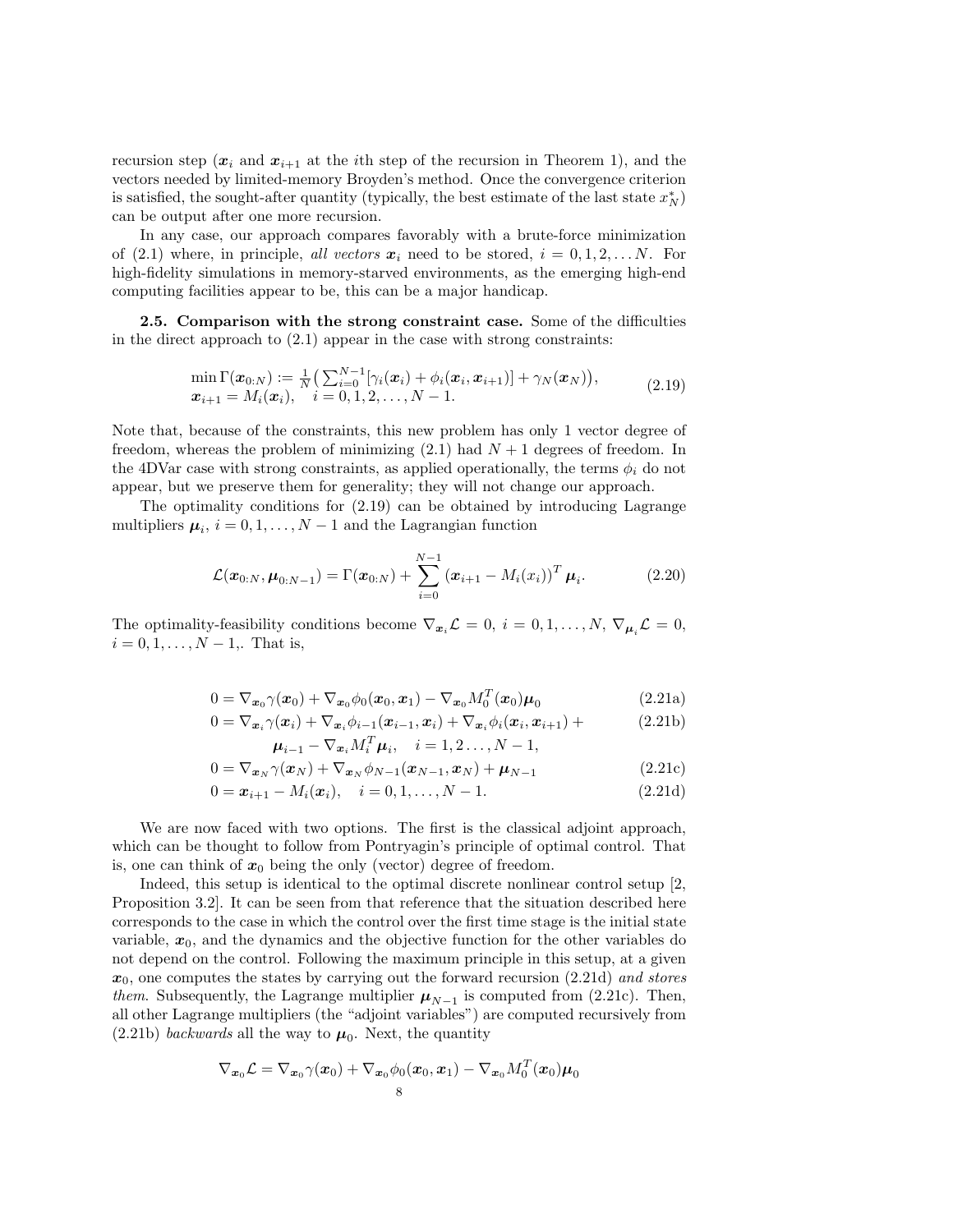recursion step  $(x_i$  and  $x_{i+1}$  at the *i*th step of the recursion in Theorem 1), and the vectors needed by limited-memory Broyden's method. Once the convergence criterion is satisfied, the sought-after quantity (typically, the best estimate of the last state  $x_N^*$ ) can be output after one more recursion.

In any case, our approach compares favorably with a brute-force minimization of (2.1) where, in principle, all vectors  $x_i$  need to be stored,  $i = 0, 1, 2, \ldots N$ . For high-fidelity simulations in memory-starved environments, as the emerging high-end computing facilities appear to be, this can be a major handicap.

2.5. Comparison with the strong constraint case. Some of the difficulties in the direct approach to  $(2.1)$  appear in the case with strong constraints:

$$
\min_{\mathbf{x}_{i+1}} \Gamma(\mathbf{x}_{0:N}) := \frac{1}{N} \Big( \sum_{i=0}^{N-1} [\gamma_i(\mathbf{x}_i) + \phi_i(\mathbf{x}_i, \mathbf{x}_{i+1})] + \gamma_N(\mathbf{x}_N) \Big),
$$
\n
$$
\mathbf{x}_{i+1} = M_i(\mathbf{x}_i), \quad i = 0, 1, 2, \dots, N-1.
$$
\n(2.19)

Note that, because of the constraints, this new problem has only 1 vector degree of freedom, whereas the problem of minimizing  $(2.1)$  had  $N+1$  degrees of freedom. In the 4DVar case with strong constraints, as applied operationally, the terms  $\phi_i$  do not appear, but we preserve them for generality; they will not change our approach.

The optimality conditions for (2.19) can be obtained by introducing Lagrange multipliers  $\mu_i$ ,  $i = 0, 1, ..., N - 1$  and the Lagrangian function

$$
\mathcal{L}(\boldsymbol{x}_{0:N}, \boldsymbol{\mu}_{0:N-1}) = \Gamma(\boldsymbol{x}_{0:N}) + \sum_{i=0}^{N-1} (\boldsymbol{x}_{i+1} - M_i(x_i))^T \boldsymbol{\mu}_i.
$$
 (2.20)

The optimality-feasibility conditions become  $\nabla_{\mathbf{x}_i}\mathcal{L} = 0, i = 0, 1, \ldots, N, \nabla_{\mathbf{\mu}_i}\mathcal{L} = 0$ ,  $i = 0, 1, \ldots, N - 1$ . That is,

$$
0 = \nabla_{\boldsymbol{x}_0} \gamma(\boldsymbol{x}_0) + \nabla_{\boldsymbol{x}_0} \phi_0(\boldsymbol{x}_0, \boldsymbol{x}_1) - \nabla_{\boldsymbol{x}_0} M_0^T(\boldsymbol{x}_0) \boldsymbol{\mu}_0
$$
\n(2.21a)

$$
0 = \nabla_{\boldsymbol{x}_i} \gamma(\boldsymbol{x}_i) + \nabla_{\boldsymbol{x}_i} \phi_{i-1}(\boldsymbol{x}_{i-1}, \boldsymbol{x}_i) + \nabla_{\boldsymbol{x}_i} \phi_i(\boldsymbol{x}_i, \boldsymbol{x}_{i+1}) +
$$
  

$$
\boldsymbol{\mu}_{i-1} - \nabla_{\boldsymbol{x}_i} M_i^T \boldsymbol{\mu}_i, \quad i = 1, 2 \dots, N - 1,
$$
 (2.21b)

$$
0 = \nabla_{\boldsymbol{x}_N} \gamma(\boldsymbol{x}_N) + \nabla_{\boldsymbol{x}_N} \phi_{N-1}(\boldsymbol{x}_{N-1}, \boldsymbol{x}_N) + \boldsymbol{\mu}_{N-1}
$$
(2.21c)

$$
0 = \boldsymbol{x}_{i+1} - M_i(\boldsymbol{x}_i), \quad i = 0, 1, ..., N - 1.
$$
\n(2.21d)

We are now faced with two options. The first is the classical adjoint approach, which can be thought to follow from Pontryagin's principle of optimal control. That is, one can think of  $x_0$  being the only (vector) degree of freedom.

Indeed, this setup is identical to the optimal discrete nonlinear control setup [2, Proposition 3.2]. It can be seen from that reference that the situation described here corresponds to the case in which the control over the first time stage is the initial state variable,  $x_0$ , and the dynamics and the objective function for the other variables do not depend on the control. Following the maximum principle in this setup, at a given  $x_0$ , one computes the states by carrying out the forward recursion  $(2.21d)$  and stores *them.* Subsequently, the Lagrange multiplier  $\mu_{N-1}$  is computed from (2.21c). Then, all other Lagrange multipliers (the "adjoint variables") are computed recursively from  $(2.21b)$  backwards all the way to  $\mu_0$ . Next, the quantity

$$
\nabla_{\boldsymbol{x}_0}\mathcal{L}=\nabla_{\boldsymbol{x}_0}\gamma(\boldsymbol{x}_0)+\nabla_{\boldsymbol{x}_0}\phi_0(\boldsymbol{x}_0,\boldsymbol{x}_1)-\nabla_{\boldsymbol{x}_0}M_0^T(\boldsymbol{x}_0)\boldsymbol{\mu}_0\\s
$$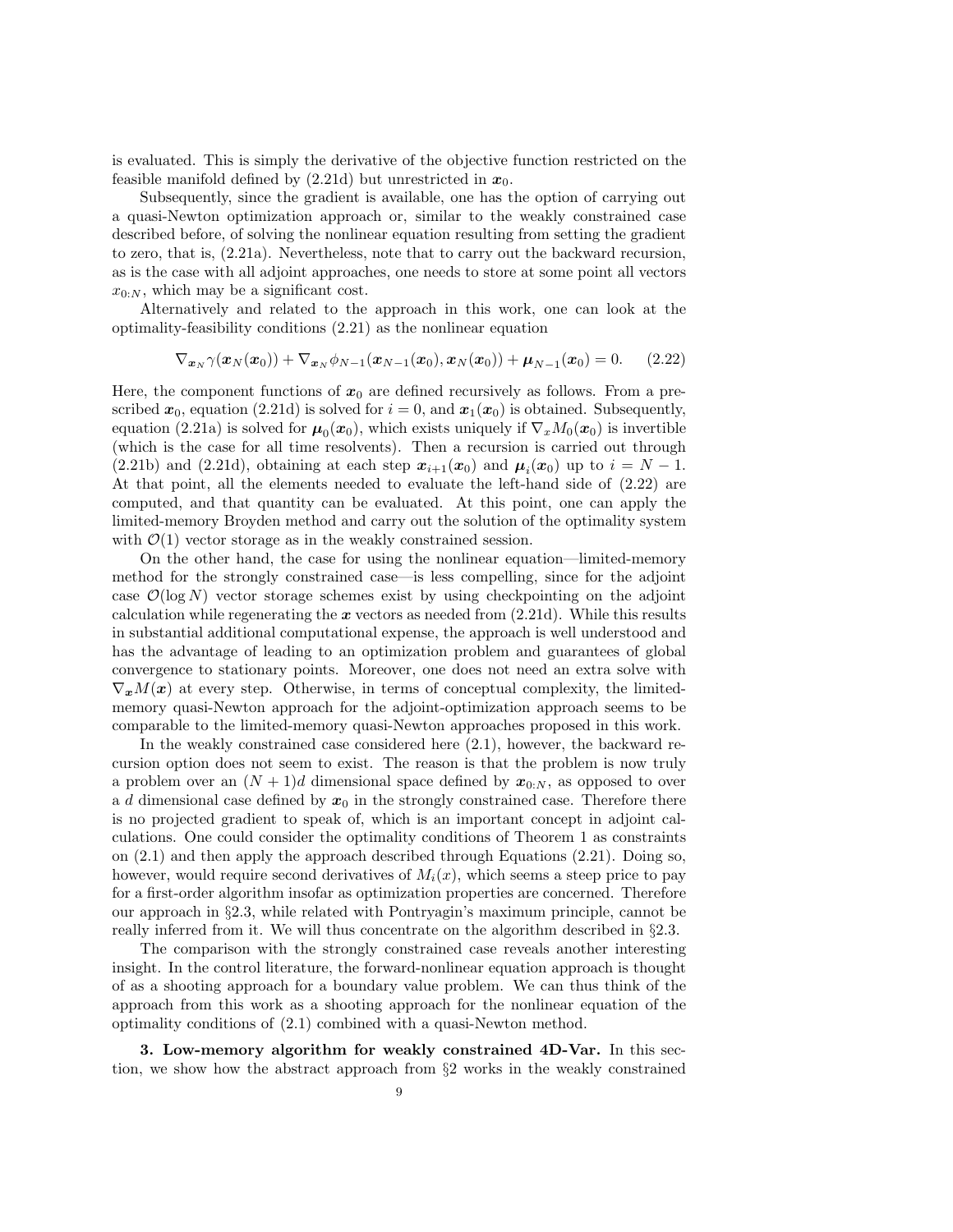is evaluated. This is simply the derivative of the objective function restricted on the feasible manifold defined by  $(2.21d)$  but unrestricted in  $x_0$ .

Subsequently, since the gradient is available, one has the option of carrying out a quasi-Newton optimization approach or, similar to the weakly constrained case described before, of solving the nonlinear equation resulting from setting the gradient to zero, that is, (2.21a). Nevertheless, note that to carry out the backward recursion, as is the case with all adjoint approaches, one needs to store at some point all vectors  $x_{0:N}$ , which may be a significant cost.

Alternatively and related to the approach in this work, one can look at the optimality-feasibility conditions (2.21) as the nonlinear equation

$$
\nabla_{\boldsymbol{x}_N} \gamma(\boldsymbol{x}_N(\boldsymbol{x}_0)) + \nabla_{\boldsymbol{x}_N} \phi_{N-1}(\boldsymbol{x}_{N-1}(\boldsymbol{x}_0), \boldsymbol{x}_N(\boldsymbol{x}_0)) + \boldsymbol{\mu}_{N-1}(\boldsymbol{x}_0) = 0. \qquad (2.22)
$$

Here, the component functions of  $x_0$  are defined recursively as follows. From a prescribed  $x_0$ , equation (2.21d) is solved for  $i = 0$ , and  $x_1(x_0)$  is obtained. Subsequently, equation (2.21a) is solved for  $\mu_0(x_0)$ , which exists uniquely if  $\nabla_x M_0(x_0)$  is invertible (which is the case for all time resolvents). Then a recursion is carried out through (2.21b) and (2.21d), obtaining at each step  $x_{i+1}(x_0)$  and  $\mu_i(x_0)$  up to  $i = N - 1$ . At that point, all the elements needed to evaluate the left-hand side of (2.22) are computed, and that quantity can be evaluated. At this point, one can apply the limited-memory Broyden method and carry out the solution of the optimality system with  $\mathcal{O}(1)$  vector storage as in the weakly constrained session.

On the other hand, the case for using the nonlinear equation—limited-memory method for the strongly constrained case—is less compelling, since for the adjoint case  $\mathcal{O}(\log N)$  vector storage schemes exist by using checkpointing on the adjoint calculation while regenerating the  $x$  vectors as needed from  $(2.21d)$ . While this results in substantial additional computational expense, the approach is well understood and has the advantage of leading to an optimization problem and guarantees of global convergence to stationary points. Moreover, one does not need an extra solve with  $\nabla_x M(x)$  at every step. Otherwise, in terms of conceptual complexity, the limitedmemory quasi-Newton approach for the adjoint-optimization approach seems to be comparable to the limited-memory quasi-Newton approaches proposed in this work.

In the weakly constrained case considered here (2.1), however, the backward recursion option does not seem to exist. The reason is that the problem is now truly a problem over an  $(N + 1)d$  dimensional space defined by  $x_{0:N}$ , as opposed to over a d dimensional case defined by  $x_0$  in the strongly constrained case. Therefore there is no projected gradient to speak of, which is an important concept in adjoint calculations. One could consider the optimality conditions of Theorem 1 as constraints on (2.1) and then apply the approach described through Equations (2.21). Doing so, however, would require second derivatives of  $M_i(x)$ , which seems a steep price to pay for a first-order algorithm insofar as optimization properties are concerned. Therefore our approach in §2.3, while related with Pontryagin's maximum principle, cannot be really inferred from it. We will thus concentrate on the algorithm described in §2.3.

The comparison with the strongly constrained case reveals another interesting insight. In the control literature, the forward-nonlinear equation approach is thought of as a shooting approach for a boundary value problem. We can thus think of the approach from this work as a shooting approach for the nonlinear equation of the optimality conditions of (2.1) combined with a quasi-Newton method.

3. Low-memory algorithm for weakly constrained 4D-Var. In this section, we show how the abstract approach from §2 works in the weakly constrained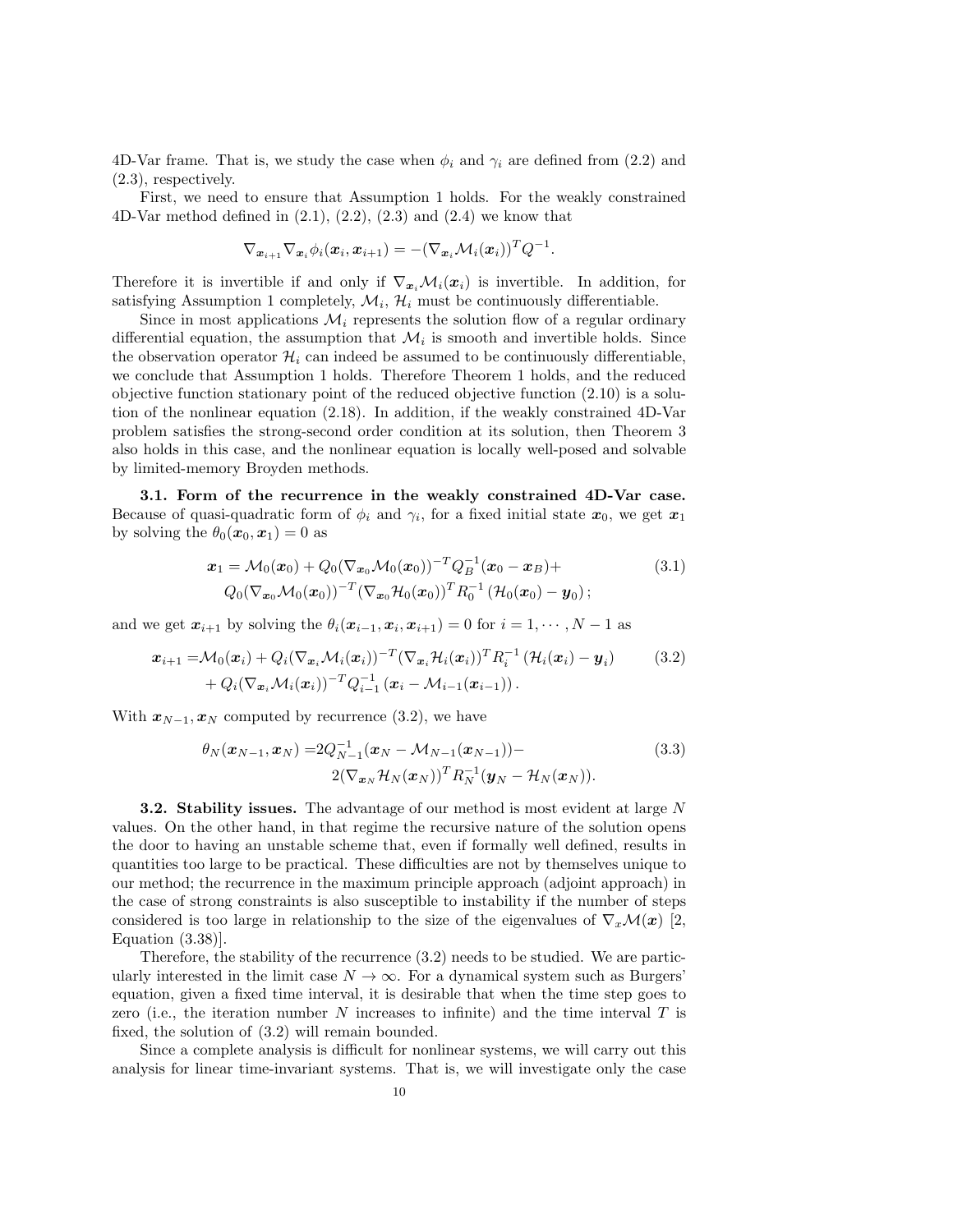4D-Var frame. That is, we study the case when  $\phi_i$  and  $\gamma_i$  are defined from (2.2) and (2.3), respectively.

First, we need to ensure that Assumption 1 holds. For the weakly constrained 4D-Var method defined in  $(2.1), (2.2), (2.3)$  and  $(2.4)$  we know that

$$
\nabla_{\boldsymbol{x}_{i+1}}\nabla_{\boldsymbol{x}_{i}}\phi_{i}(\boldsymbol{x}_{i},\boldsymbol{x}_{i+1})=-(\nabla_{\boldsymbol{x}_{i}}\mathcal{M}_{i}(\boldsymbol{x}_{i}))^{T}Q^{-1}.
$$

Therefore it is invertible if and only if  $\nabla_{x_i} \mathcal{M}_i(x_i)$  is invertible. In addition, for satisfying Assumption 1 completely,  $\mathcal{M}_i$ ,  $\mathcal{H}_i$  must be continuously differentiable.

Since in most applications  $\mathcal{M}_i$  represents the solution flow of a regular ordinary differential equation, the assumption that  $\mathcal{M}_i$  is smooth and invertible holds. Since the observation operator  $\mathcal{H}_i$  can indeed be assumed to be continuously differentiable, we conclude that Assumption 1 holds. Therefore Theorem 1 holds, and the reduced objective function stationary point of the reduced objective function (2.10) is a solution of the nonlinear equation (2.18). In addition, if the weakly constrained 4D-Var problem satisfies the strong-second order condition at its solution, then Theorem 3 also holds in this case, and the nonlinear equation is locally well-posed and solvable by limited-memory Broyden methods.

3.1. Form of the recurrence in the weakly constrained 4D-Var case. Because of quasi-quadratic form of  $\phi_i$  and  $\gamma_i$ , for a fixed initial state  $x_0$ , we get  $x_1$ by solving the  $\theta_0(\mathbf{x}_0, \mathbf{x}_1) = 0$  as

$$
\mathbf{x}_1 = \mathcal{M}_0(\mathbf{x}_0) + Q_0(\nabla_{\mathbf{x}_0} \mathcal{M}_0(\mathbf{x}_0))^{-T} Q_B^{-1}(\mathbf{x}_0 - \mathbf{x}_B) +
$$
  
\n
$$
Q_0(\nabla_{\mathbf{x}_0} \mathcal{M}_0(\mathbf{x}_0))^{-T} (\nabla_{\mathbf{x}_0} \mathcal{H}_0(\mathbf{x}_0))^T R_0^{-1} (\mathcal{H}_0(\mathbf{x}_0) - \mathbf{y}_0);
$$
\n(3.1)

and we get  $x_{i+1}$  by solving the  $\theta_i(x_{i-1}, x_i, x_{i+1}) = 0$  for  $i = 1, \dots, N - 1$  as

$$
\boldsymbol{x}_{i+1} = \mathcal{M}_0(\boldsymbol{x}_i) + Q_i (\nabla_{\boldsymbol{x}_i} \mathcal{M}_i(\boldsymbol{x}_i))^{-T} (\nabla_{\boldsymbol{x}_i} \mathcal{H}_i(\boldsymbol{x}_i))^T R_i^{-1} \left( \mathcal{H}_i(\boldsymbol{x}_i) - \boldsymbol{y}_i \right) \qquad (3.2)
$$

$$
+ Q_i (\nabla_{\boldsymbol{x}_i} \mathcal{M}_i(\boldsymbol{x}_i))^{-T} Q_{i-1}^{-1} \left( \boldsymbol{x}_i - \mathcal{M}_{i-1}(\boldsymbol{x}_{i-1}) \right).
$$

With  $x_{N-1}, x_N$  computed by recurrence (3.2), we have

$$
\theta_N(\boldsymbol{x}_{N-1}, \boldsymbol{x}_N) = 2Q_{N-1}^{-1}(\boldsymbol{x}_N - \mathcal{M}_{N-1}(\boldsymbol{x}_{N-1})) -
$$
\n
$$
2(\nabla_{\boldsymbol{x}_N} \mathcal{H}_N(\boldsymbol{x}_N))^T R_N^{-1}(\boldsymbol{y}_N - \mathcal{H}_N(\boldsymbol{x}_N)).
$$
\n(3.3)

**3.2. Stability issues.** The advantage of our method is most evident at large N values. On the other hand, in that regime the recursive nature of the solution opens the door to having an unstable scheme that, even if formally well defined, results in quantities too large to be practical. These difficulties are not by themselves unique to our method; the recurrence in the maximum principle approach (adjoint approach) in the case of strong constraints is also susceptible to instability if the number of steps considered is too large in relationship to the size of the eigenvalues of  $\nabla_x\mathcal{M}(x)$  [2, Equation (3.38)].

Therefore, the stability of the recurrence (3.2) needs to be studied. We are particularly interested in the limit case  $N \to \infty$ . For a dynamical system such as Burgers' equation, given a fixed time interval, it is desirable that when the time step goes to zero (i.e., the iteration number N increases to infinite) and the time interval  $T$  is fixed, the solution of (3.2) will remain bounded.

Since a complete analysis is difficult for nonlinear systems, we will carry out this analysis for linear time-invariant systems. That is, we will investigate only the case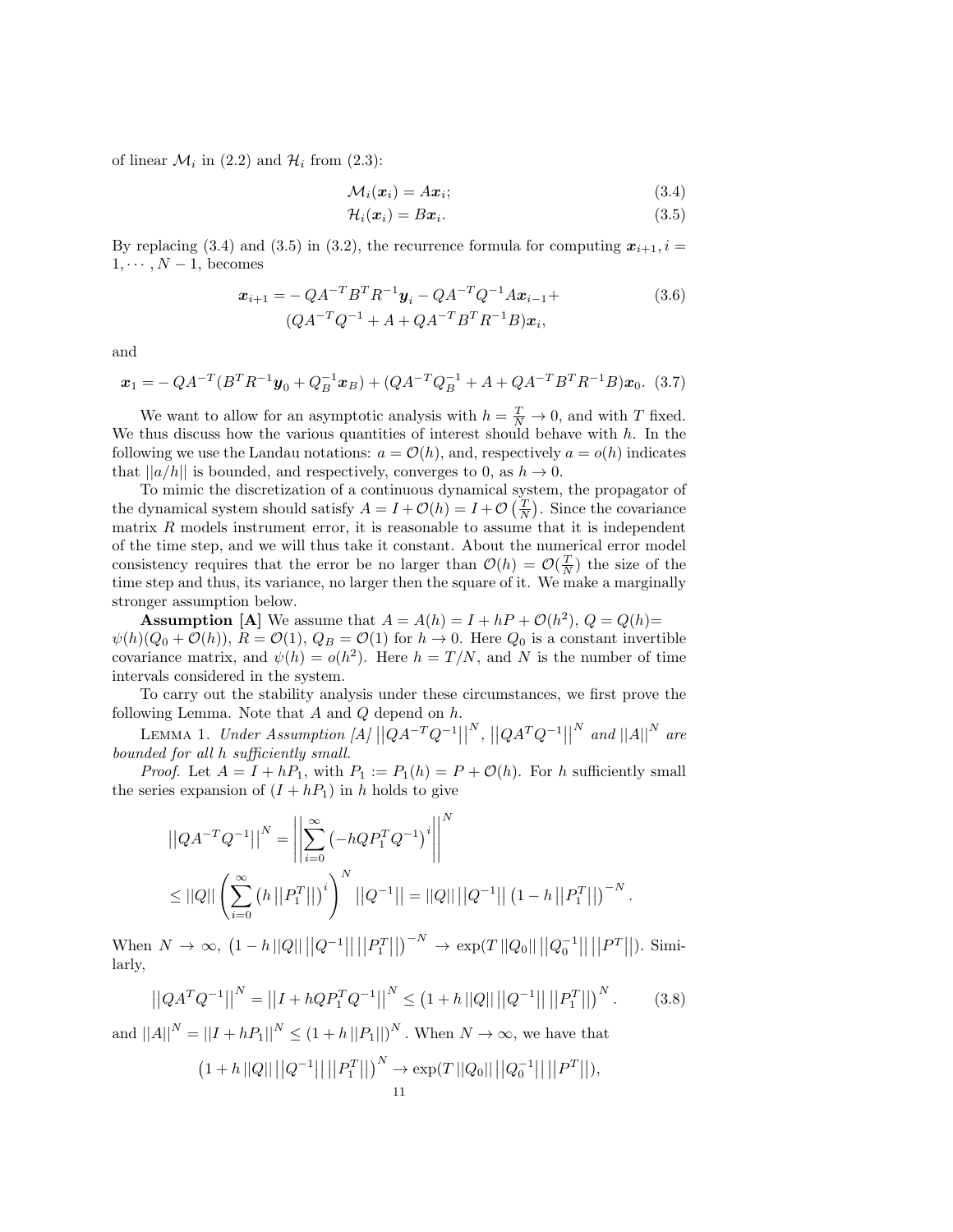of linear  $\mathcal{M}_i$  in (2.2) and  $\mathcal{H}_i$  from (2.3):

$$
\mathcal{M}_i(\boldsymbol{x}_i) = A\boldsymbol{x}_i; \tag{3.4}
$$

$$
\mathcal{H}_i(\boldsymbol{x}_i) = B\boldsymbol{x}_i. \tag{3.5}
$$

By replacing (3.4) and (3.5) in (3.2), the recurrence formula for computing  $x_{i+1}$ ,  $i =$  $1, \cdots, N-1$ , becomes

$$
\boldsymbol{x}_{i+1} = -QA^{-T}B^{T}R^{-1}\boldsymbol{y}_{i} - QA^{-T}Q^{-1}A\boldsymbol{x}_{i-1} + (QA^{-T}Q^{-1} + A + QA^{-T}B^{T}R^{-1}B)\boldsymbol{x}_{i},
$$
\n(3.6)

and

$$
\boldsymbol{x}_1 = -QA^{-T}(B^T R^{-1} \boldsymbol{y}_0 + Q_B^{-1} \boldsymbol{x}_B) + (QA^{-T} Q_B^{-1} + A + QA^{-T} B^T R^{-1} B) \boldsymbol{x}_0.
$$
 (3.7)

We want to allow for an asymptotic analysis with  $h = \frac{T}{N} \to 0$ , and with T fixed. We thus discuss how the various quantities of interest should behave with  $h$ . In the following we use the Landau notations:  $a = \mathcal{O}(h)$ , and, respectively  $a = o(h)$  indicates that  $||a/h||$  is bounded, and respectively, converges to 0, as  $h \to 0$ .

To mimic the discretization of a continuous dynamical system, the propagator of the dynamical system should satisfy  $A = I + \mathcal{O}(h) = I + \mathcal{O}(\frac{T}{N})$ . Since the covariance matrix  $R$  models instrument error, it is reasonable to assume that it is independent of the time step, and we will thus take it constant. About the numerical error model consistency requires that the error be no larger than  $\mathcal{O}(h) = \mathcal{O}(\frac{T}{N})$  the size of the time step and thus, its variance, no larger then the square of it. We make a marginally stronger assumption below.

**Assumption** [A] We assume that  $A = A(h) = I + hP + \mathcal{O}(h^2)$ ,  $Q = Q(h)$ =  $\psi(h)(Q_0 + \mathcal{O}(h)), R = \mathcal{O}(1), Q_B = \mathcal{O}(1)$  for  $h \to 0$ . Here  $Q_0$  is a constant invertible covariance matrix, and  $\psi(h) = o(h^2)$ . Here  $h = T/N$ , and N is the number of time intervals considered in the system.

To carry out the stability analysis under these circumstances, we first prove the following Lemma. Note that  $A$  and  $Q$  depend on  $h$ .

LEMMA 1. Under Assumption [A]  $\left| QA^{-T}Q^{-1} \right|$  $\|\n|Q A^T Q^{-1}$ ||  $\sum_{i=1}^{N}$  and  $\left|\left|A\right|\right|^{N}$  are bounded for all h sufficiently small.

*Proof.* Let  $A = I + hP_1$ , with  $P_1 := P_1(h) = P + \mathcal{O}(h)$ . For h sufficiently small the series expansion of  $(I + hP_1)$  in h holds to give

$$
||QA^{-T}Q^{-1}||^{N} = \left\| \sum_{i=0}^{\infty} \left( -hQP_1^TQ^{-1} \right)^i \right\|^{N}
$$
  

$$
\leq ||Q|| \left( \sum_{i=0}^{\infty} \left( h \left\| P_1^T \right\| \right)^i \right)^N ||Q^{-1}|| = ||Q|| ||Q^{-1}|| \left( 1 - h \left\| P_1^T \right\| \right)^{-N}.
$$

 $\text{When } N \to \infty, \ (1-h||Q|| ||Q^{-1}|| ||P_1^T||)^{-N} \to \exp(T||Q_0|| ||Q_0^{-1}|| ||P_1^T||).$  Similarly,

$$
\left| \left| QA^T Q^{-1} \right| \right|^N = \left| \left| I + h Q P_1^T Q^{-1} \right| \right|^N \le \left( 1 + h \left| |Q| \right| \left| |Q^{-1} \right| \right| \left| |P_1^T| \right| \right)^N. \tag{3.8}
$$

and  $||A||^N = ||I + hP_1||^N \le (1 + h ||P_1||)^N$ . When  $N \to \infty$ , we have that

$$
(1+h ||Q|| ||Q^{-1}|| ||P_1^T||)^N \to \exp(T ||Q_0|| ||Q_0^{-1}|| ||P^T||),
$$
  
11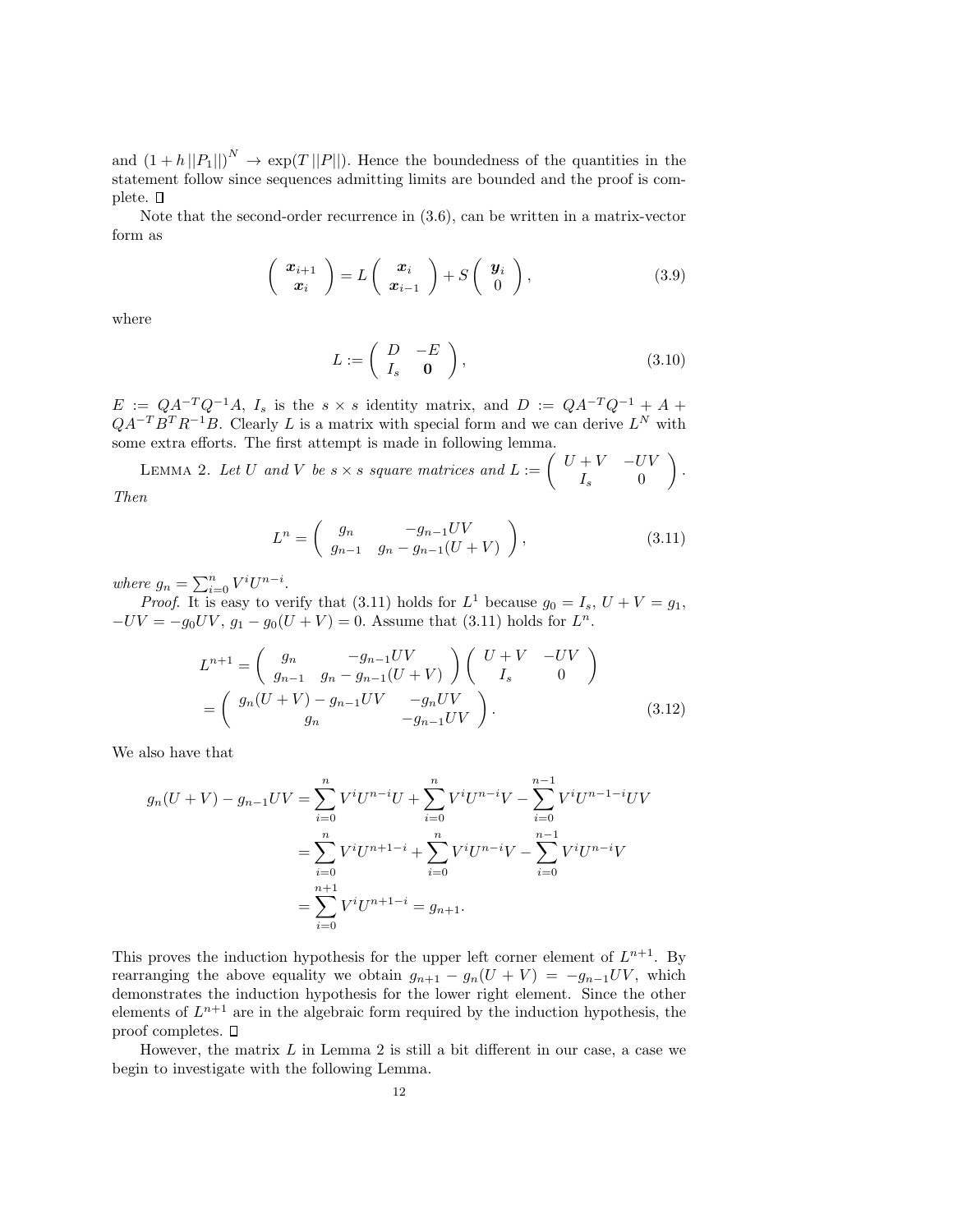and  $(1+h||P_1||)^N \to \exp(T||P||)$ . Hence the boundedness of the quantities in the statement follow since sequences admitting limits are bounded and the proof is complete.  $\square$ 

Note that the second-order recurrence in (3.6), can be written in a matrix-vector form as

$$
\left(\begin{array}{c}\n\boldsymbol{x}_{i+1} \\
\boldsymbol{x}_i\n\end{array}\right)=L\left(\begin{array}{c}\n\boldsymbol{x}_i \\
\boldsymbol{x}_{i-1}\n\end{array}\right)+S\left(\begin{array}{c}\n\boldsymbol{y}_i \\
0\n\end{array}\right),\n\tag{3.9}
$$

where

$$
L := \left( \begin{array}{cc} D & -E \\ I_s & \mathbf{0} \end{array} \right), \tag{3.10}
$$

 $E := QA^{-T}Q^{-1}A$ ,  $I_s$  is the  $s \times s$  identity matrix, and  $D := QA^{-T}Q^{-1} + A +$  $QA^{-T}B^{T}R^{-1}B$ . Clearly L is a matrix with special form and we can derive  $L^{N}$  with some extra efforts. The first attempt is made in following lemma.

LEMMA 2. Let U and V be  $s \times s$  square matrices and  $L := \begin{pmatrix} U + V & -UV \\ I & 0 \end{pmatrix}$  $I_s$  0  $\big).$ Then

$$
L^n = \begin{pmatrix} g_n & -g_{n-1}UV \\ g_{n-1} & g_n - g_{n-1}(U+V) \end{pmatrix},
$$
 (3.11)

where  $g_n = \sum_{i=0}^n V^i U^{n-i}$ .

*Proof.* It is easy to verify that (3.11) holds for  $L^1$  because  $g_0 = I_s$ ,  $U + V = g_1$ ,  $-UV = -g_0UV$ ,  $g_1 - g_0(U + V) = 0$ . Assume that (3.11) holds for  $L^n$ .

$$
L^{n+1} = \begin{pmatrix} g_n & -g_{n-1}UV \\ g_{n-1} & g_n - g_{n-1}(U+V) \end{pmatrix} \begin{pmatrix} U+V & -UV \\ I_s & 0 \end{pmatrix}
$$
  
= 
$$
\begin{pmatrix} g_n(U+V) - g_{n-1}UV & -g_nUV \\ g_n & -g_{n-1}UV \end{pmatrix}.
$$
 (3.12)

We also have that

$$
g_n(U+V) - g_{n-1}UV = \sum_{i=0}^n V^i U^{n-i} U + \sum_{i=0}^n V^i U^{n-i} V - \sum_{i=0}^{n-1} V^i U^{n-1-i} UV
$$
  

$$
= \sum_{i=0}^n V^i U^{n+1-i} + \sum_{i=0}^n V^i U^{n-i} V - \sum_{i=0}^{n-1} V^i U^{n-i} V
$$
  

$$
= \sum_{i=0}^{n+1} V^i U^{n+1-i} = g_{n+1}.
$$

This proves the induction hypothesis for the upper left corner element of  $L^{n+1}$ . By rearranging the above equality we obtain  $g_{n+1} - g_n(U + V) = -g_{n-1}UV$ , which demonstrates the induction hypothesis for the lower right element. Since the other elements of  $L^{n+1}$  are in the algebraic form required by the induction hypothesis, the proof completes.  $\square$ 

However, the matrix  $L$  in Lemma 2 is still a bit different in our case, a case we begin to investigate with the following Lemma.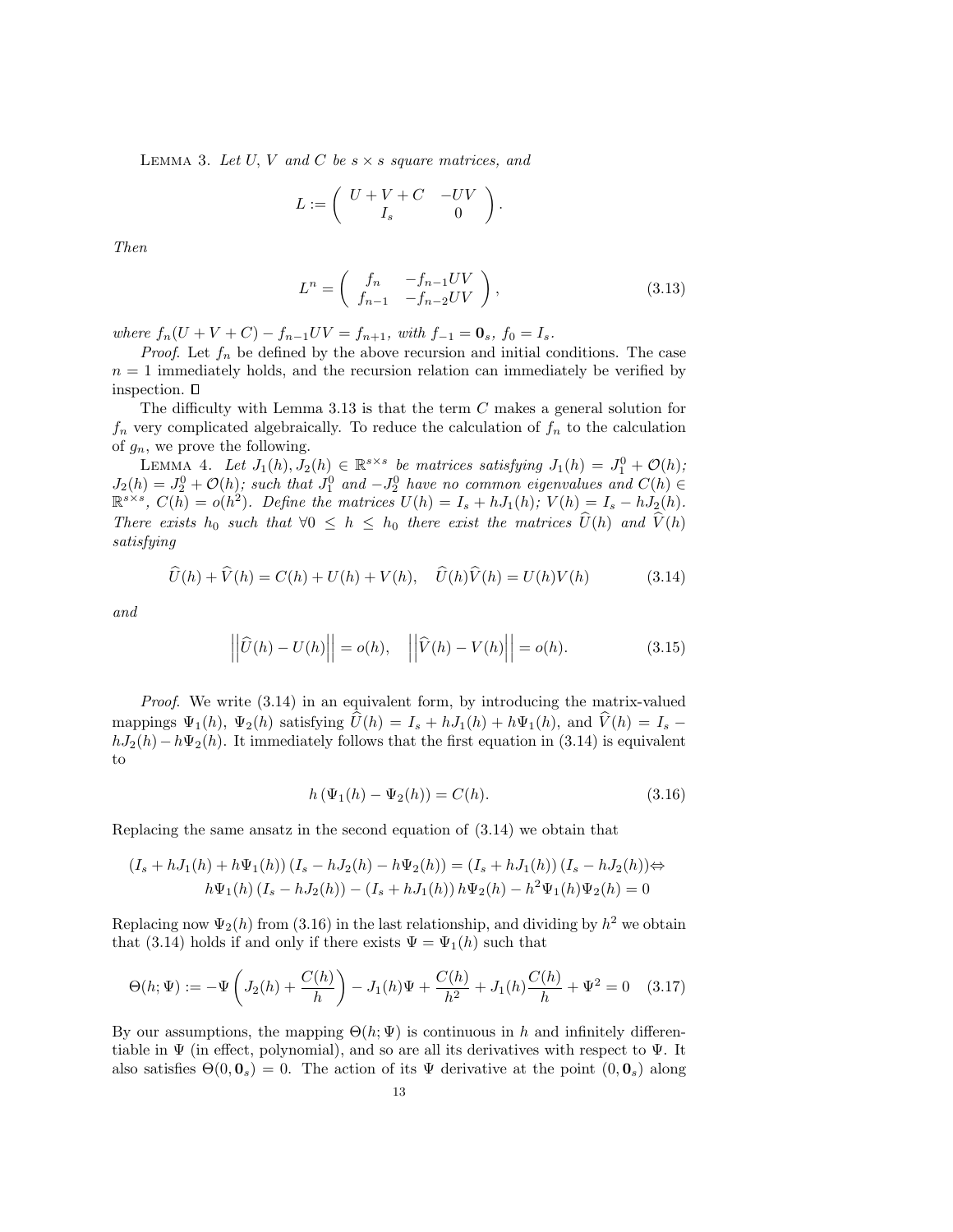LEMMA 3. Let U, V and C be  $s \times s$  square matrices, and

$$
L := \left( \begin{array}{cc} U + V + C & -UV \\ I_s & 0 \end{array} \right).
$$

Then

$$
L^n = \begin{pmatrix} f_n & -f_{n-1}UV \\ f_{n-1} & -f_{n-2}UV \end{pmatrix},
$$
\n(3.13)

where  $f_n(U + V + C) - f_{n-1}UV = f_{n+1}$ , with  $f_{-1} = \mathbf{0}_s$ ,  $f_0 = I_s$ .

*Proof.* Let  $f_n$  be defined by the above recursion and initial conditions. The case  $n = 1$  immediately holds, and the recursion relation can immediately be verified by inspection.  $\square$ 

The difficulty with Lemma 3.13 is that the term C makes a general solution for  $f_n$  very complicated algebraically. To reduce the calculation of  $f_n$  to the calculation of  $g_n$ , we prove the following.

LEMMA 4. Let  $J_1(h), J_2(h) \in \mathbb{R}^{s \times s}$  be matrices satisfying  $J_1(h) = J_1^0 + \mathcal{O}(h)$ ;  $J_2(h) = J_2^0 + \mathcal{O}(h)$ ; such that  $J_1^0$  and  $-J_2^0$  have no common eigenvalues and  $C(h) \in$  $\mathbb{R}^{s \times s}$ ,  $C(h) = o(h^2)$ . Define the matrices  $U(h) = I_s + hJ_1(h)$ ;  $V(h) = I_s - hJ_2(h)$ . There exists  $h_0$  such that  $\forall 0 \leq h \leq h_0$  there exist the matrices  $\widehat{U}(h)$  and  $\widehat{V}(h)$ satisfying

$$
\widehat{U}(h) + \widehat{V}(h) = C(h) + U(h) + V(h), \quad \widehat{U}(h)\widehat{V}(h) = U(h)V(h)
$$
\n(3.14)

and

$$
\left| \left| \widehat{U}(h) - U(h) \right| \right| = o(h), \quad \left| \left| \widehat{V}(h) - V(h) \right| \right| = o(h). \tag{3.15}
$$

Proof. We write  $(3.14)$  in an equivalent form, by introducing the matrix-valued mappings  $\Psi_1(h)$ ,  $\Psi_2(h)$  satisfying  $\widehat{U}(h) = I_s + hJ_1(h) + h\Psi_1(h)$ , and  $\widehat{V}(h) = I_s$  $hJ_2(h) - h\Psi_2(h)$ . It immediately follows that the first equation in (3.14) is equivalent to

$$
h(\Psi_1(h) - \Psi_2(h)) = C(h).
$$
\n(3.16)

Replacing the same ansatz in the second equation of (3.14) we obtain that

$$
(I_s + hJ_1(h) + h\Psi_1(h)) (I_s - hJ_2(h) - h\Psi_2(h)) = (I_s + hJ_1(h)) (I_s - hJ_2(h)) \Leftrightarrow
$$
  

$$
h\Psi_1(h) (I_s - hJ_2(h)) - (I_s + hJ_1(h)) h\Psi_2(h) - h^2\Psi_1(h)\Psi_2(h) = 0
$$

Replacing now  $\Psi_2(h)$  from (3.16) in the last relationship, and dividing by  $h^2$  we obtain that (3.14) holds if and only if there exists  $\Psi = \Psi_1(h)$  such that

$$
\Theta(h; \Psi) := -\Psi \left( J_2(h) + \frac{C(h)}{h} \right) - J_1(h)\Psi + \frac{C(h)}{h^2} + J_1(h)\frac{C(h)}{h} + \Psi^2 = 0 \quad (3.17)
$$

By our assumptions, the mapping  $\Theta(h; \Psi)$  is continuous in h and infinitely differentiable in  $\Psi$  (in effect, polynomial), and so are all its derivatives with respect to  $\Psi$ . It also satisfies  $\Theta(0, 0_s) = 0$ . The action of its  $\Psi$  derivative at the point  $(0, 0_s)$  along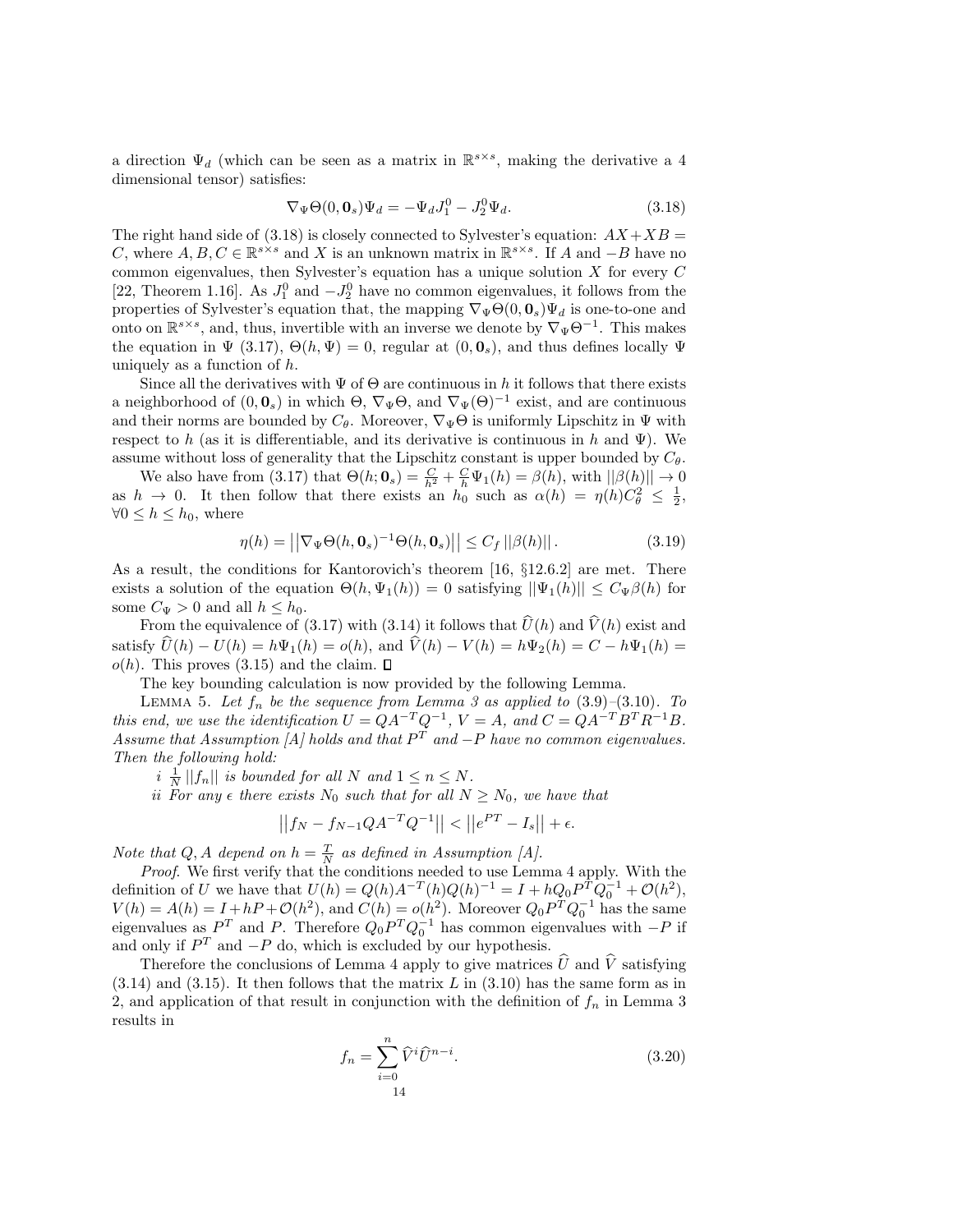a direction  $\Psi_d$  (which can be seen as a matrix in  $\mathbb{R}^{s \times s}$ , making the derivative a 4 dimensional tensor) satisfies:

$$
\nabla_{\Psi}\Theta(0,\mathbf{0}_s)\Psi_d = -\Psi_d J_1^0 - J_2^0 \Psi_d.
$$
\n(3.18)

The right hand side of  $(3.18)$  is closely connected to Sylvester's equation:  $AX+XB =$ C, where  $A, B, C \in \mathbb{R}^{s \times s}$  and X is an unknown matrix in  $\mathbb{R}^{s \times s}$ . If A and  $-B$  have no common eigenvalues, then Sylvester's equation has a unique solution  $X$  for every  $C$ [22, Theorem 1.16]. As  $J_1^0$  and  $-J_2^0$  have no common eigenvalues, it follows from the properties of Sylvester's equation that, the mapping  $\nabla_{\Psi}\Theta(0,\mathbf{0}_s)\Psi_d$  is one-to-one and onto on  $\mathbb{R}^{s \times s}$ , and, thus, invertible with an inverse we denote by  $\nabla_{\Psi} \Theta^{-1}$ . This makes the equation in  $\Psi$  (3.17),  $\Theta(h, \Psi) = 0$ , regular at  $(0, 0<sub>s</sub>)$ , and thus defines locally  $\Psi$ uniquely as a function of h.

Since all the derivatives with  $\Psi$  of  $\Theta$  are continuous in h it follows that there exists a neighborhood of  $(0, \mathbf{0}_s)$  in which  $\Theta$ ,  $\nabla_{\Psi} \Theta$ , and  $\nabla_{\Psi} (\Theta)^{-1}$  exist, and are continuous and their norms are bounded by  $C_{\theta}$ . Moreover,  $\nabla_{\Psi}\Theta$  is uniformly Lipschitz in  $\Psi$  with respect to h (as it is differentiable, and its derivative is continuous in h and  $\Psi$ ). We assume without loss of generality that the Lipschitz constant is upper bounded by  $C_{\theta}$ .

We also have from (3.17) that  $\Theta(h; \mathbf{0}_s) = \frac{C}{h^2} + \frac{C}{h} \Psi_1(h) = \beta(h)$ , with  $||\beta(h)|| \rightarrow 0$ as  $h \to 0$ . It then follow that there exists an  $h_0$  such as  $\alpha(h) = \eta(h)C_\theta^2 \leq \frac{1}{2}$ ,  $\forall 0 \leq h \leq h_0$ , where

$$
\eta(h) = \left| \left| \nabla_{\Psi} \Theta(h, \mathbf{0}_s)^{-1} \Theta(h, \mathbf{0}_s) \right| \right| \le C_f \left| \left| \beta(h) \right| \right|.
$$
 (3.19)

As a result, the conditions for Kantorovich's theorem [16, §12.6.2] are met. There exists a solution of the equation  $\Theta(h, \Psi_1(h)) = 0$  satisfying  $||\Psi_1(h)|| \leq C_{\Psi} \beta(h)$  for some  $C_{\Psi} > 0$  and all  $h \leq h_0$ .

From the equivalence of (3.17) with (3.14) it follows that  $\widehat{U}(h)$  and  $\widehat{V}(h)$  exist and satisfy  $\hat{U}(h) - U(h) = h\Psi_1(h) = o(h)$ , and  $\hat{V}(h) - V(h) = h\Psi_2(h) = C - h\Psi_1(h) =$  $o(h)$ . This proves (3.15) and the claim.  $\square$ 

The key bounding calculation is now provided by the following Lemma.

LEMMA 5. Let  $f_n$  be the sequence from Lemma 3 as applied to  $(3.9)$ – $(3.10)$ . To this end, we use the identification  $U = QA^{-T}Q^{-1}$ ,  $V = A$ , and  $C = QA^{-T}B^{T}R^{-1}B$ . Assume that Assumption [A] holds and that  $P<sup>T</sup>$  and  $-P$  have no common eigenvalues. Then the following hold:

 $i \frac{1}{N} ||f_n||$  is bounded for all N and  $1 \leq n \leq N$ .

ii For any  $\epsilon$  there exists  $N_0$  such that for all  $N \geq N_0$ , we have that

$$
||f_N - f_{N-1}QA^{-T}Q^{-1}|| < ||e^{PT} - I_s|| + \epsilon.
$$

Note that Q, A depend on  $h = \frac{T}{N}$  as defined in Assumption [A].

Proof. We first verify that the conditions needed to use Lemma 4 apply. With the definition of U we have that  $U(h) = Q(h)A^{-T}(h)Q(h)^{-1} = I + hQ_0P^TQ_0^{-1} + \mathcal{O}(h^2)$ ,  $V(h) = A(h) = I + hP + \mathcal{O}(h^2)$ , and  $C(h) = o(h^2)$ . Moreover  $Q_0P^TQ_0^{-1}$  has the same eigenvalues as  $P^T$  and P. Therefore  $Q_0 P^T Q_0^{-1}$  has common eigenvalues with  $-P$  if and only if  $P<sup>T</sup>$  and  $-P$  do, which is excluded by our hypothesis.

Therefore the conclusions of Lemma 4 apply to give matrices  $\dot{U}$  and  $\dot{V}$  satisfying  $(3.14)$  and  $(3.15)$ . It then follows that the matrix L in  $(3.10)$  has the same form as in 2, and application of that result in conjunction with the definition of  $f_n$  in Lemma 3 results in

$$
f_n = \sum_{i=0}^n \widehat{V}^i \widehat{U}^{n-i}.
$$
\n
$$
(3.20)
$$
\n
$$
14
$$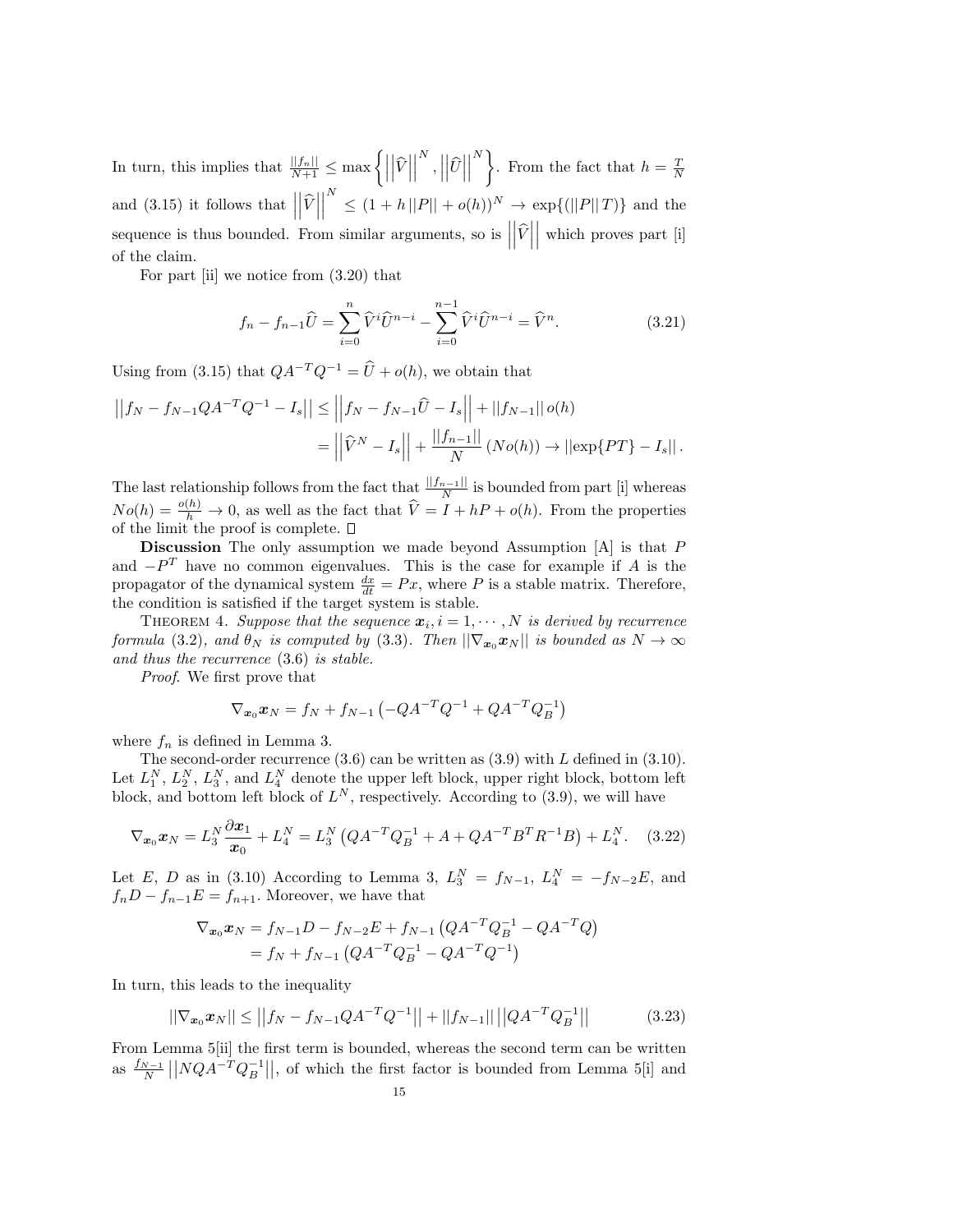In turn, this implies that  $\frac{||f_n||}{N+1} \leq \max \left\{ \left| \frac{f_n}{N+1} \right| \leq \frac{1}{N+1} \right\}$  $|\hat{V}|$   $\begin{bmatrix} N \\ 1 \end{bmatrix}$  $|\widehat{U}|$  $\begin{array}{c} \begin{array}{c} \begin{array}{c} \end{array} \\ \begin{array}{c} \end{array} \end{array} \end{array}$  $\left\{\n\right\}$ . From the fact that  $h = \frac{T}{N}$ and  $(3.15)$  it follows that  $\vert$  $|\hat{V}|$  $\begin{array}{c} \n\end{array}$  $\sum_{i=1}^{N} \leq (1 + h||P|| + o(h))^N \to \exp\{ (||P||T) \}$  and the sequence is thus bounded. From similar arguments, so is  $\Big|$  $|\hat{V}|$    which proves part [i] of the claim.

For part [ii] we notice from (3.20) that

$$
f_n - f_{n-1}\hat{U} = \sum_{i=0}^n \hat{V}^i \hat{U}^{n-i} - \sum_{i=0}^{n-1} \hat{V}^i \hat{U}^{n-i} = \hat{V}^n.
$$
 (3.21)

Using from (3.15) that  $QA^{-T}Q^{-1} = \hat{U} + o(h)$ , we obtain that

$$
\left| \left| f_N - f_{N-1} Q A^{-T} Q^{-1} - I_s \right| \right| \le \left| \left| f_N - f_{N-1} \hat{U} - I_s \right| \right| + \left| \left| f_{N-1} \right| \right| o(h)
$$
  
= 
$$
\left| \left| \hat{V}^N - I_s \right| \right| + \frac{\left| \left| f_{n-1} \right| \right|}{N} \left( N o(h) \right) \to \left| \left| \exp \{ PT \} - I_s \right| \right|.
$$

The last relationship follows from the fact that  $\frac{||f_{n-1}||}{N}$  is bounded from part [i] whereas  $N_o(h) = \frac{o(h)}{h} \to 0$ , as well as the fact that  $\hat{V} = I + hP + o(h)$ . From the properties of the limit the proof is complete.

**Discussion** The only assumption we made beyond Assumption  $[A]$  is that  $P$ and  $-P<sup>T</sup>$  have no common eigenvalues. This is the case for example if A is the propagator of the dynamical system  $\frac{dx}{dt} = Px$ , where P is a stable matrix. Therefore, the condition is satisfied if the target system is stable.

THEOREM 4. Suppose that the sequence  $\mathbf{x}_i, i = 1, \cdots, N$  is derived by recurrence formula (3.2), and  $\theta_N$  is computed by (3.3). Then  $\|\nabla_{\boldsymbol{x}_0}\boldsymbol{x}_N\|$  is bounded as  $N \to \infty$ and thus the recurrence (3.6) is stable.

Proof. We first prove that

$$
\nabla_{\mathbf{x}_0} \mathbf{x}_N = f_N + f_{N-1} \left( -QA^{-T} Q^{-1} + QA^{-T} Q_B^{-1} \right)
$$

where  $f_n$  is defined in Lemma 3.

The second-order recurrence  $(3.6)$  can be written as  $(3.9)$  with L defined in  $(3.10)$ . Let  $L_1^N$ ,  $L_2^N$ ,  $L_3^N$ , and  $L_4^N$  denote the upper left block, upper right block, bottom left block, and bottom left block of  $L^N$ , respectively. According to  $(3.9)$ , we will have

$$
\nabla_{\boldsymbol{x}_0} \boldsymbol{x}_N = L_3^N \frac{\partial \boldsymbol{x}_1}{\boldsymbol{x}_0} + L_4^N = L_3^N \left( Q A^{-T} Q_B^{-1} + A + Q A^{-T} B^T R^{-1} B \right) + L_4^N. \quad (3.22)
$$

Let E, D as in (3.10) According to Lemma 3,  $L_3^N = f_{N-1}$ ,  $L_4^N = -f_{N-2}E$ , and  $f_nD - f_{n-1}E = f_{n+1}$ . Moreover, we have that

$$
\nabla_{\mathbf{x}_0} \mathbf{x}_N = f_{N-1} D - f_{N-2} E + f_{N-1} \left( Q A^{-T} Q_B^{-1} - Q A^{-T} Q \right)
$$
  
=  $f_N + f_{N-1} \left( Q A^{-T} Q_B^{-1} - Q A^{-T} Q^{-1} \right)$ 

In turn, this leads to the inequality

$$
||\nabla_{\mathbf{x}_0} \mathbf{x}_N|| \le ||f_N - f_{N-1} Q A^{-T} Q^{-1}|| + ||f_{N-1}|| ||Q A^{-T} Q_B^{-1}|| \qquad (3.23)
$$

From Lemma 5[ii] the first term is bounded, whereas the second term can be written as  $\frac{f_{N-1}}{N}$  ||NQA<sup>-T</sup>Q<sub>B</sub><sup>-1</sup>||, of which the first factor is bounded from Lemma 5[i] and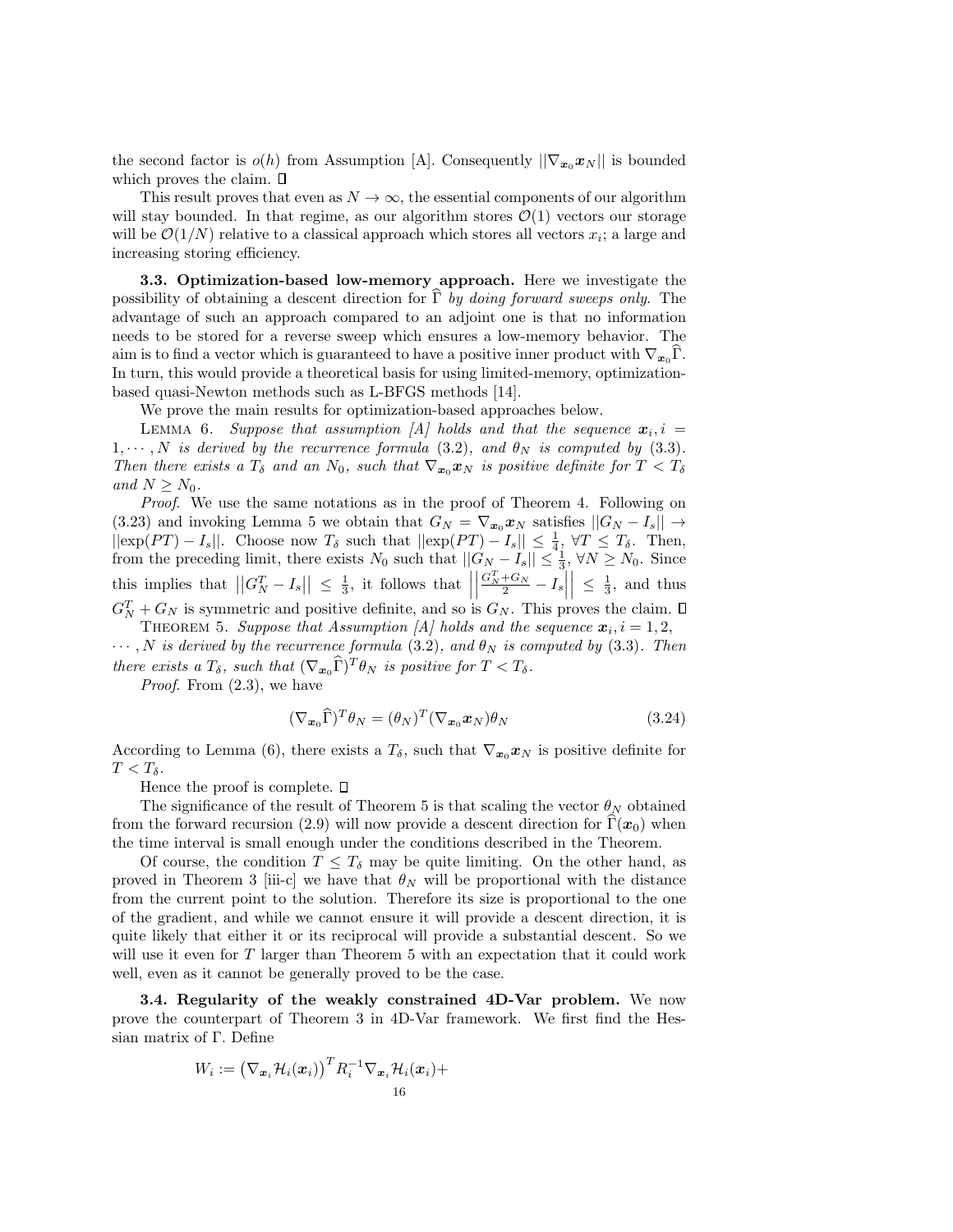the second factor is  $o(h)$  from Assumption [A]. Consequently  $||\nabla_{\mathbf{x}_0}\mathbf{x}_N||$  is bounded which proves the claim.  $\square$ 

This result proves that even as  $N \to \infty$ , the essential components of our algorithm will stay bounded. In that regime, as our algorithm stores  $\mathcal{O}(1)$  vectors our storage will be  $\mathcal{O}(1/N)$  relative to a classical approach which stores all vectors  $x_i$ ; a large and increasing storing efficiency.

3.3. Optimization-based low-memory approach. Here we investigate the possibility of obtaining a descent direction for  $\hat{\Gamma}$  by doing forward sweeps only. The advantage of such an approach compared to an adjoint one is that no information needs to be stored for a reverse sweep which ensures a low-memory behavior. The aim is to find a vector which is guaranteed to have a positive inner product with  $\nabla_{\mathbf{x}_0} \Gamma$ . In turn, this would provide a theoretical basis for using limited-memory, optimizationbased quasi-Newton methods such as L-BFGS methods [14].

We prove the main results for optimization-based approaches below.

LEMMA 6. Suppose that assumption [A] holds and that the sequence  $\mathbf{x}_i$ ,  $i =$  $1, \dots, N$  is derived by the recurrence formula (3.2), and  $\theta_N$  is computed by (3.3). Then there exists a  $T_\delta$  and an  $N_0$ , such that  $\nabla_{\bm{x}_0} \bm{x}_N$  is positive definite for  $T < T_\delta$ and  $N \geq N_0$ .

Proof. We use the same notations as in the proof of Theorem 4. Following on (3.23) and invoking Lemma 5 we obtain that  $G_N = \nabla_{\mathbf{x}_0} \mathbf{x}_N$  satisfies  $||G_N - I_s|| \to$  $||exp(PT) - I_s||$ . Choose now  $T_\delta$  such that  $||exp(PT) - I_s|| \leq \frac{1}{4}$ ,  $\forall T \leq T_\delta$ . Then, from the preceding limit, there exists  $N_0$  such that  $||G_N - I_s|| \leq \frac{1}{3}$ ,  $\forall N \geq N_0$ . Since this implies that  $||G_N^T - I_s|| \leq \frac{1}{3}$ , it follows that  $||G_N^T - I_s|| \leq \frac{1}{3}$ .  $\begin{array}{c} \begin{array}{c} \begin{array}{c} \end{array} \\ \begin{array}{c} \end{array} \end{array} \end{array}$  $\left. \frac{G_N^T+G_N}{2}-I_s \right|$  $\left| \begin{array}{c} \leq \frac{1}{3}, \text{ and thus} \end{array} \right|$  $G_N^T + G_N$  is symmetric and positive definite, and so is  $G_N$ . This proves the claim.

THEOREM 5. Suppose that Assumption [A] holds and the sequence  $x_i$ ,  $i = 1, 2$ ,  $\cdots$ , N is derived by the recurrence formula (3.2), and  $\theta_N$  is computed by (3.3). Then

there exists a  $T_\delta$ , such that  $(\nabla_{\boldsymbol{x}_0} \widehat{\Gamma})^T \theta_N$  is positive for  $T < T_\delta$ .

Proof. From (2.3), we have

$$
(\nabla_{\mathbf{x}_0}\widehat{\Gamma})^T \theta_N = (\theta_N)^T (\nabla_{\mathbf{x}_0} \mathbf{x}_N) \theta_N \tag{3.24}
$$

According to Lemma (6), there exists a  $T_{\delta}$ , such that  $\nabla_{x_0} x_N$  is positive definite for  $T < T_{\delta}$ .

Hence the proof is complete.  $\square$ 

The significance of the result of Theorem 5 is that scaling the vector  $\theta_N$  obtained from the forward recursion (2.9) will now provide a descent direction for  $\Gamma(x_0)$  when the time interval is small enough under the conditions described in the Theorem.

Of course, the condition  $T \leq T_{\delta}$  may be quite limiting. On the other hand, as proved in Theorem 3 [iii-c] we have that  $\theta_N$  will be proportional with the distance from the current point to the solution. Therefore its size is proportional to the one of the gradient, and while we cannot ensure it will provide a descent direction, it is quite likely that either it or its reciprocal will provide a substantial descent. So we will use it even for T larger than Theorem 5 with an expectation that it could work well, even as it cannot be generally proved to be the case.

3.4. Regularity of the weakly constrained 4D-Var problem. We now prove the counterpart of Theorem 3 in 4D-Var framework. We first find the Hessian matrix of Γ. Define

$$
W_i:=\left(\nabla_{{\boldsymbol x}_i} {\mathcal H}_i({\boldsymbol x}_i)\right)^T R_i^{-1} \nabla_{{\boldsymbol x}_i} {\mathcal H}_i({\boldsymbol x}_i) +
$$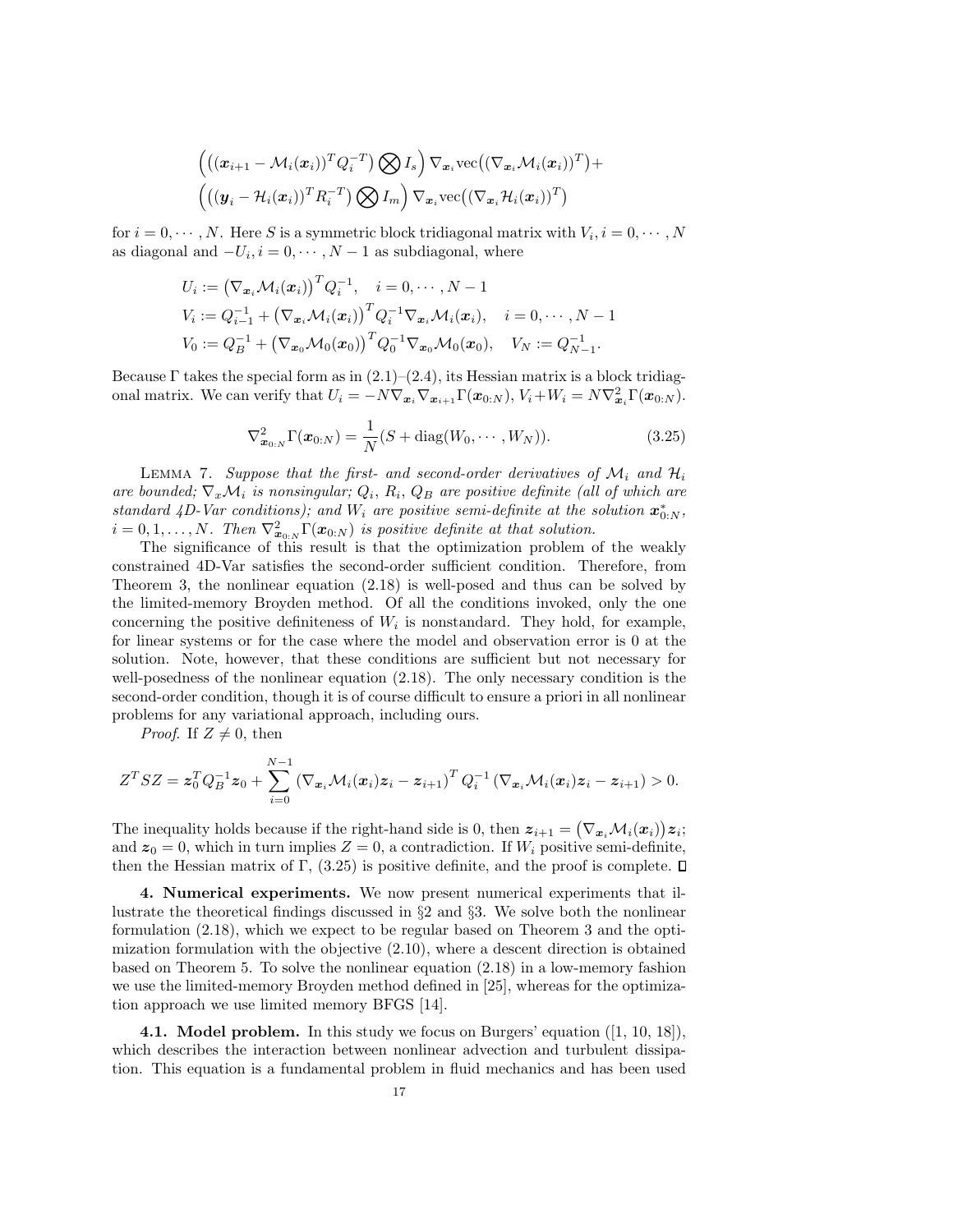$$
\left( \left( (\boldsymbol{x}_{i+1} - \mathcal{M}_i(\boldsymbol{x}_i))^T Q_i^{-T} \right) \bigotimes I_s \right) \nabla_{\boldsymbol{x}_i} \text{vec} \left( (\nabla_{\boldsymbol{x}_i} \mathcal{M}_i(\boldsymbol{x}_i))^T \right) + \\ \left( \left( (\boldsymbol{y}_i - \mathcal{H}_i(\boldsymbol{x}_i))^T R_i^{-T} \right) \bigotimes I_m \right) \nabla_{\boldsymbol{x}_i} \text{vec} \left( (\nabla_{\boldsymbol{x}_i} \mathcal{H}_i(\boldsymbol{x}_i))^T \right)
$$

for  $i = 0, \dots, N$ . Here S is a symmetric block tridiagonal matrix with  $V_i, i = 0, \dots, N$ as diagonal and  $-U_i$ ,  $i = 0, \dots, N-1$  as subdiagonal, where

$$
U_i := (\nabla_{\mathbf{x}_i} \mathcal{M}_i(\mathbf{x}_i))^T Q_i^{-1}, \quad i = 0, \cdots, N-1
$$
  
\n
$$
V_i := Q_{i-1}^{-1} + (\nabla_{\mathbf{x}_i} \mathcal{M}_i(\mathbf{x}_i))^T Q_i^{-1} \nabla_{\mathbf{x}_i} \mathcal{M}_i(\mathbf{x}_i), \quad i = 0, \cdots, N-1
$$
  
\n
$$
V_0 := Q_B^{-1} + (\nabla_{\mathbf{x}_0} \mathcal{M}_0(\mathbf{x}_0))^T Q_0^{-1} \nabla_{\mathbf{x}_0} \mathcal{M}_0(\mathbf{x}_0), \quad V_N := Q_{N-1}^{-1}.
$$

Because  $\Gamma$  takes the special form as in  $(2.1)$ – $(2.4)$ , its Hessian matrix is a block tridiagonal matrix. We can verify that  $U_i = -N \nabla_{\mathbf{x}_i} \nabla_{\mathbf{x}_{i+1}} \Gamma(\mathbf{x}_{0:N}), V_i + W_i = N \nabla_{\mathbf{x}_i}^2 \Gamma(\mathbf{x}_{0:N}).$ 

$$
\nabla_{\bm{x}_{0:N}}^2 \Gamma(\bm{x}_{0:N}) = \frac{1}{N}(S + \text{diag}(W_0, \cdots, W_N)).
$$
\n(3.25)

LEMMA 7. Suppose that the first- and second-order derivatives of  $\mathcal{M}_i$  and  $\mathcal{H}_i$ are bounded;  $\nabla_x \mathcal{M}_i$  is nonsingular;  $Q_i$ ,  $R_i$ ,  $Q_B$  are positive definite (all of which are standard 4D-Var conditions); and  $W_i$  are positive semi-definite at the solution  $\mathbf{x}_{0:N}^*$ ,  $i = 0, 1, \ldots, N$ . Then  $\nabla^2_{\mathbf{x}_{0:N}} \Gamma(\mathbf{x}_{0:N})$  is positive definite at that solution.

The significance of this result is that the optimization problem of the weakly constrained 4D-Var satisfies the second-order sufficient condition. Therefore, from Theorem 3, the nonlinear equation (2.18) is well-posed and thus can be solved by the limited-memory Broyden method. Of all the conditions invoked, only the one concerning the positive definiteness of  $W_i$  is nonstandard. They hold, for example, for linear systems or for the case where the model and observation error is 0 at the solution. Note, however, that these conditions are sufficient but not necessary for well-posedness of the nonlinear equation (2.18). The only necessary condition is the second-order condition, though it is of course difficult to ensure a priori in all nonlinear problems for any variational approach, including ours.

*Proof.* If  $Z \neq 0$ , then

$$
Z^T S Z = \boldsymbol{z}_0^T Q_B^{-1} \boldsymbol{z}_0 + \sum_{i=0}^{N-1} \left( \nabla_{\boldsymbol{x}_i} \mathcal{M}_i(\boldsymbol{x}_i) \boldsymbol{z}_i - \boldsymbol{z}_{i+1} \right)^T Q_i^{-1} \left( \nabla_{\boldsymbol{x}_i} \mathcal{M}_i(\boldsymbol{x}_i) \boldsymbol{z}_i - \boldsymbol{z}_{i+1} \right) > 0.
$$

The inequality holds because if the right-hand side is 0, then  $z_{i+1} = (\nabla_{x_i} \mathcal{M}_i(x_i))z_i$ ; and  $z_0 = 0$ , which in turn implies  $Z = 0$ , a contradiction. If  $W_i$  positive semi-definite, then the Hessian matrix of  $\Gamma$ , (3.25) is positive definite, and the proof is complete.  $\Box$ 

4. Numerical experiments. We now present numerical experiments that illustrate the theoretical findings discussed in  $\S 2$  and  $\S 3$ . We solve both the nonlinear formulation (2.18), which we expect to be regular based on Theorem 3 and the optimization formulation with the objective (2.10), where a descent direction is obtained based on Theorem 5. To solve the nonlinear equation (2.18) in a low-memory fashion we use the limited-memory Broyden method defined in [25], whereas for the optimization approach we use limited memory BFGS [14].

**4.1. Model problem.** In this study we focus on Burgers' equation  $([1, 10, 18])$ , which describes the interaction between nonlinear advection and turbulent dissipation. This equation is a fundamental problem in fluid mechanics and has been used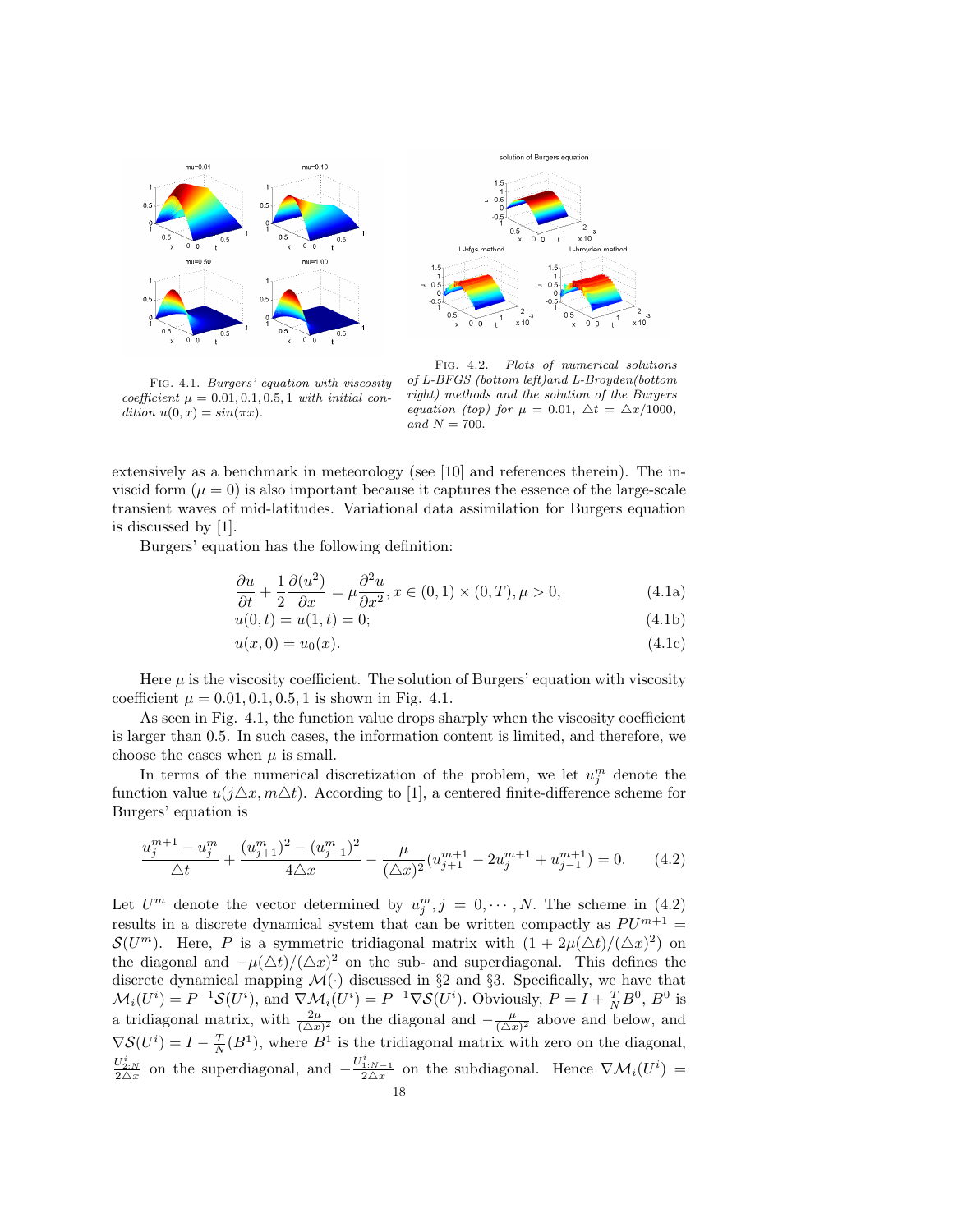



Fig. 4.1. Burgers' equation with viscosity coefficient  $\mu = 0.01, 0.1, 0.5, 1$  with initial condition  $u(0, x) = \sin(\pi x)$ .

Fig. 4.2. Plots of numerical solutions of L-BFGS (bottom left)and L-Broyden(bottom right) methods and the solution of the Burgers equation (top) for  $\mu = 0.01$ ,  $\Delta t = \Delta x/1000$ , and  $N = 700$ .

extensively as a benchmark in meteorology (see [10] and references therein). The inviscid form  $(\mu = 0)$  is also important because it captures the essence of the large-scale transient waves of mid-latitudes. Variational data assimilation for Burgers equation is discussed by [1].

Burgers' equation has the following definition:

$$
\frac{\partial u}{\partial t} + \frac{1}{2} \frac{\partial (u^2)}{\partial x} = \mu \frac{\partial^2 u}{\partial x^2}, x \in (0, 1) \times (0, T), \mu > 0,
$$
\n(4.1a)

$$
u(0,t) = u(1,t) = 0;
$$
\n(4.1b)

$$
u(x,0) = u_0(x). \t\t(4.1c)
$$

Here  $\mu$  is the viscosity coefficient. The solution of Burgers' equation with viscosity coefficient  $\mu = 0.01, 0.1, 0.5, 1$  is shown in Fig. 4.1.

As seen in Fig. 4.1, the function value drops sharply when the viscosity coefficient is larger than 0.5. In such cases, the information content is limited, and therefore, we choose the cases when  $\mu$  is small.

In terms of the numerical discretization of the problem, we let  $u_j^m$  denote the function value  $u(j\Delta x, m\Delta t)$ . According to [1], a centered finite-difference scheme for Burgers' equation is

$$
\frac{u_j^{m+1} - u_j^m}{\triangle t} + \frac{(u_{j+1}^m)^2 - (u_{j-1}^m)^2}{4\triangle x} - \frac{\mu}{(\triangle x)^2} (u_{j+1}^{m+1} - 2u_j^{m+1} + u_{j-1}^{m+1}) = 0. \tag{4.2}
$$

Let  $U^m$  denote the vector determined by  $u_j^m, j = 0, \dots, N$ . The scheme in (4.2) results in a discrete dynamical system that can be written compactly as  $PU^{m+1}$  =  $\mathcal{S}(U^m)$ . Here, P is a symmetric tridiagonal matrix with  $(1+2\mu(\Delta t)/(\Delta x)^2)$  on the diagonal and  $-\mu(\Delta t)/(\Delta x)^2$  on the sub- and superdiagonal. This defines the discrete dynamical mapping  $\mathcal{M}(\cdot)$  discussed in §2 and §3. Specifically, we have that  $\mathcal{M}_i(U^i) = P^{-1}\mathcal{S}(U^i)$ , and  $\nabla \mathcal{M}_i(U^i) = P^{-1}\nabla \mathcal{S}(U^i)$ . Obviously,  $P = I + \frac{T}{N}B^0$ ,  $B^0$  is a tridiagonal matrix, with  $\frac{2\mu}{(\Delta x)^2}$  on the diagonal and  $-\frac{\mu}{(\Delta x)^2}$  above and below, and  $\nabla \mathcal{S}(U^i) = I - \frac{T}{N}(B^1)$ , where  $B^1$  is the tridiagonal matrix with zero on the diagonal,  $\frac{U_{2:N}^i}{2\Delta x}$  on the superdiagonal, and  $-\frac{U_{1:N-1}^i}{2\Delta x}$  on the subdiagonal. Hence  $\nabla \mathcal{M}_i(U^i)$  =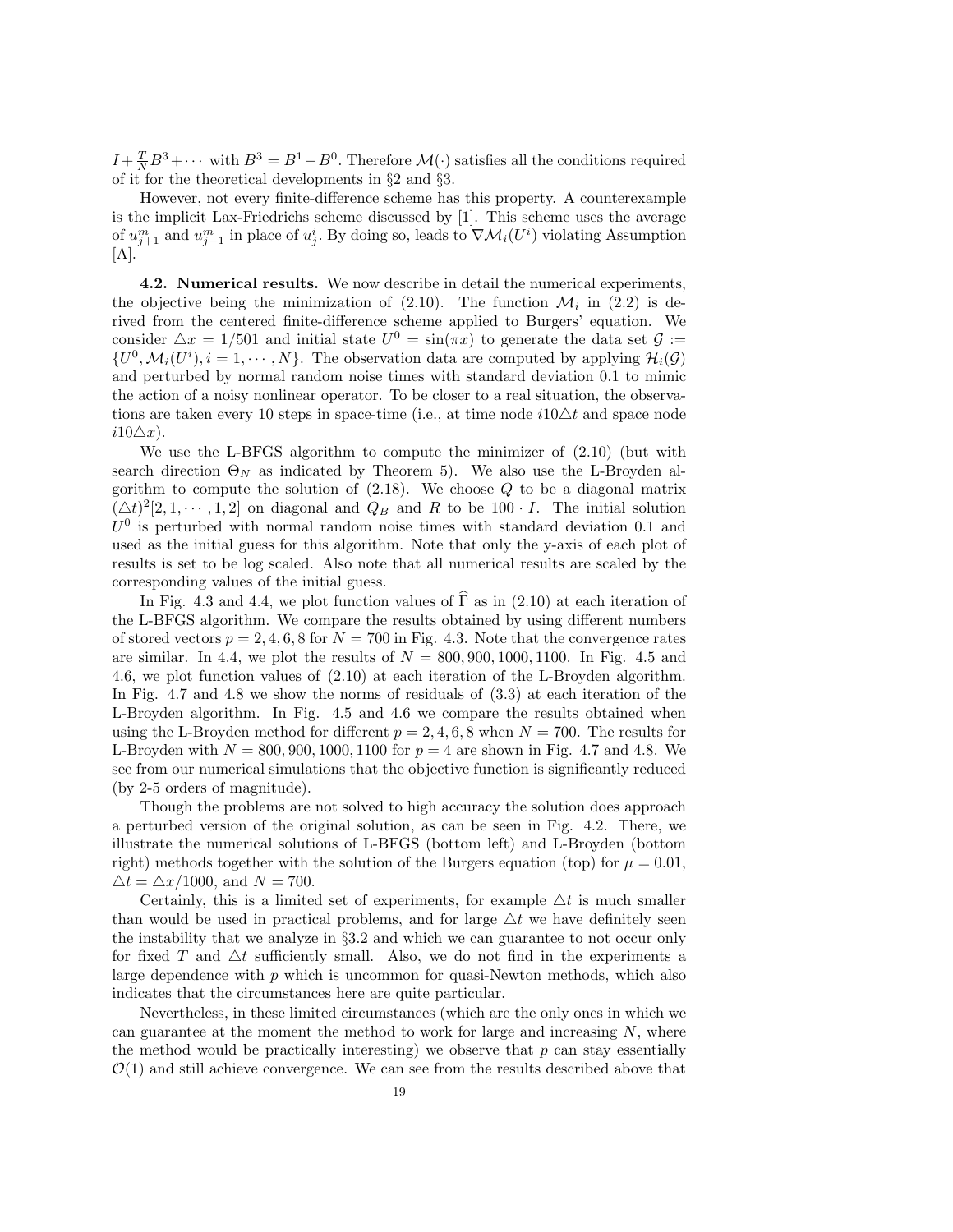$I + \frac{T}{N}B^3 + \cdots$  with  $B^3 = B^1 - B^0$ . Therefore  $\mathcal{M}(\cdot)$  satisfies all the conditions required of it for the theoretical developments in §2 and §3.

However, not every finite-difference scheme has this property. A counterexample is the implicit Lax-Friedrichs scheme discussed by [1]. This scheme uses the average of  $u_{j+1}^m$  and  $u_{j-1}^m$  in place of  $u_j^i$ . By doing so, leads to  $\nabla \mathcal{M}_i(U^i)$  violating Assumption  $[A]$ .

4.2. Numerical results. We now describe in detail the numerical experiments, the objective being the minimization of  $(2.10)$ . The function  $\mathcal{M}_i$  in  $(2.2)$  is derived from the centered finite-difference scheme applied to Burgers' equation. We consider  $\Delta x = 1/501$  and initial state  $U^0 = \sin(\pi x)$  to generate the data set  $\mathcal{G}$  :=  $\{U^0, \mathcal{M}_i(U^i), i = 1, \cdots, N\}$ . The observation data are computed by applying  $\mathcal{H}_i(\mathcal{G})$ and perturbed by normal random noise times with standard deviation 0.1 to mimic the action of a noisy nonlinear operator. To be closer to a real situation, the observations are taken every 10 steps in space-time (i.e., at time node  $i10\Delta t$  and space node  $i10\triangle x$ ).

We use the L-BFGS algorithm to compute the minimizer of (2.10) (but with search direction  $\Theta_N$  as indicated by Theorem 5). We also use the L-Broyden algorithm to compute the solution of  $(2.18)$ . We choose  $Q$  to be a diagonal matrix  $(\Delta t)^2[2, 1, \cdots, 1, 2]$  on diagonal and  $Q_B$  and R to be 100 · I. The initial solution  $U^0$  is perturbed with normal random noise times with standard deviation 0.1 and used as the initial guess for this algorithm. Note that only the y-axis of each plot of results is set to be log scaled. Also note that all numerical results are scaled by the corresponding values of the initial guess.

In Fig. 4.3 and 4.4, we plot function values of  $\Gamma$  as in (2.10) at each iteration of the L-BFGS algorithm. We compare the results obtained by using different numbers of stored vectors  $p = 2, 4, 6, 8$  for  $N = 700$  in Fig. 4.3. Note that the convergence rates are similar. In 4.4, we plot the results of  $N = 800, 900, 1000, 1100$ . In Fig. 4.5 and 4.6, we plot function values of (2.10) at each iteration of the L-Broyden algorithm. In Fig. 4.7 and 4.8 we show the norms of residuals of (3.3) at each iteration of the L-Broyden algorithm. In Fig. 4.5 and 4.6 we compare the results obtained when using the L-Broyden method for different  $p = 2, 4, 6, 8$  when  $N = 700$ . The results for L-Broyden with  $N = 800, 900, 1000, 1100$  for  $p = 4$  are shown in Fig. 4.7 and 4.8. We see from our numerical simulations that the objective function is significantly reduced (by 2-5 orders of magnitude).

Though the problems are not solved to high accuracy the solution does approach a perturbed version of the original solution, as can be seen in Fig. 4.2. There, we illustrate the numerical solutions of L-BFGS (bottom left) and L-Broyden (bottom right) methods together with the solution of the Burgers equation (top) for  $\mu = 0.01$ ,  $\Delta t = \Delta x/1000$ , and  $N = 700$ .

Certainly, this is a limited set of experiments, for example  $\Delta t$  is much smaller than would be used in practical problems, and for large  $\triangle t$  we have definitely seen the instability that we analyze in §3.2 and which we can guarantee to not occur only for fixed T and  $\Delta t$  sufficiently small. Also, we do not find in the experiments a large dependence with  $p$  which is uncommon for quasi-Newton methods, which also indicates that the circumstances here are quite particular.

Nevertheless, in these limited circumstances (which are the only ones in which we can guarantee at the moment the method to work for large and increasing  $N$ , where the method would be practically interesting) we observe that  $p$  can stay essentially  $\mathcal{O}(1)$  and still achieve convergence. We can see from the results described above that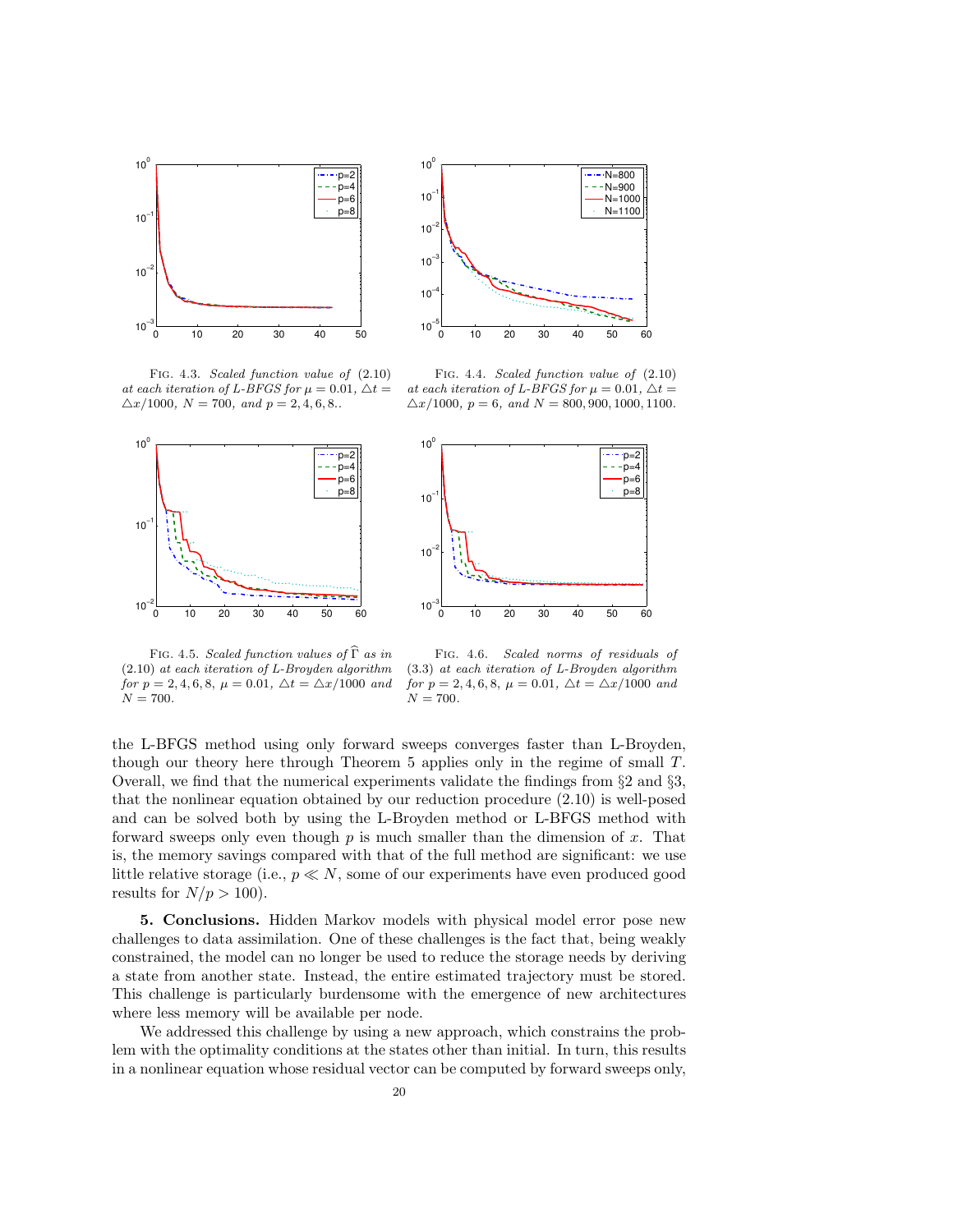



Fig. 4.3. Scaled function value of (2.10) at each iteration of L-BFGS for  $\mu = 0.01$ ,  $\Delta t =$  $\Delta x/1000$ ,  $N = 700$ , and  $p = 2, 4, 6, 8$ .





Fig. 4.4. Scaled function value of (2.10) at each iteration of L-BFGS for  $\mu = 0.01$ ,  $\Delta t =$ 

FIG. 4.5. Scaled function values of  $\widehat{\Gamma}$  as in (2.10) at each iteration of L-Broyden algorithm for  $p = 2, 4, 6, 8, \mu = 0.01, \Delta t = \Delta x/1000$  and  $N = 700.$ 

0 10 20 30 40 50 60 Fig. 4.6. Scaled norms of residuals of (3.3) at each iteration of L-Broyden algorithm for  $p = 2, 4, 6, 8, \mu = 0.01, \Delta t = \Delta x/1000$  and

the L-BFGS method using only forward sweeps converges faster than L-Broyden, though our theory here through Theorem 5 applies only in the regime of small T. Overall, we find that the numerical experiments validate the findings from §2 and §3, that the nonlinear equation obtained by our reduction procedure (2.10) is well-posed and can be solved both by using the L-Broyden method or L-BFGS method with forward sweeps only even though  $p$  is much smaller than the dimension of  $x$ . That is, the memory savings compared with that of the full method are significant: we use little relative storage (i.e.,  $p \ll N$ , some of our experiments have even produced good results for  $N/p > 100$ .

 $10^{-3}$ L

 $N = 700.$ 

10−2

5. Conclusions. Hidden Markov models with physical model error pose new challenges to data assimilation. One of these challenges is the fact that, being weakly constrained, the model can no longer be used to reduce the storage needs by deriving a state from another state. Instead, the entire estimated trajectory must be stored. This challenge is particularly burdensome with the emergence of new architectures where less memory will be available per node.

We addressed this challenge by using a new approach, which constrains the problem with the optimality conditions at the states other than initial. In turn, this results in a nonlinear equation whose residual vector can be computed by forward sweeps only,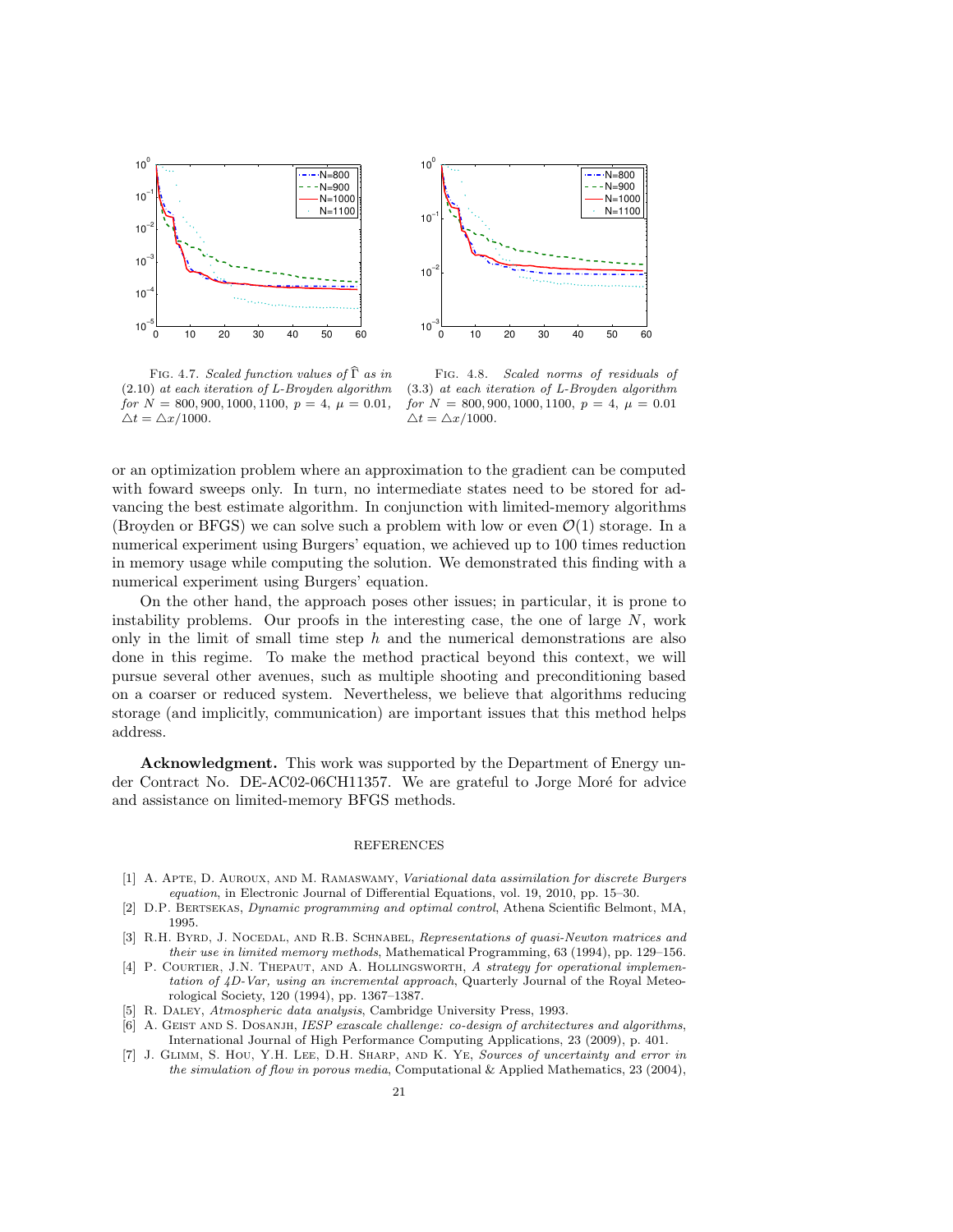



FIG. 4.7. Scaled function values of  $\widehat{\Gamma}$  as in (2.10) at each iteration of L-Broyden algorithm for  $N = 800, 900, 1000, 1100, p = 4, \mu = 0.01,$  $\Delta t = \Delta x/1000.$ 

Fig. 4.8. Scaled norms of residuals of (3.3) at each iteration of L-Broyden algorithm for  $N = 800, 900, 1000, 1100, p = 4, \mu = 0.01$  $\Delta t = \Delta x/1000.$ 

or an optimization problem where an approximation to the gradient can be computed with foward sweeps only. In turn, no intermediate states need to be stored for advancing the best estimate algorithm. In conjunction with limited-memory algorithms (Broyden or BFGS) we can solve such a problem with low or even  $\mathcal{O}(1)$  storage. In a numerical experiment using Burgers' equation, we achieved up to 100 times reduction in memory usage while computing the solution. We demonstrated this finding with a numerical experiment using Burgers' equation.

On the other hand, the approach poses other issues; in particular, it is prone to instability problems. Our proofs in the interesting case, the one of large  $N$ , work only in the limit of small time step  $h$  and the numerical demonstrations are also done in this regime. To make the method practical beyond this context, we will pursue several other avenues, such as multiple shooting and preconditioning based on a coarser or reduced system. Nevertheless, we believe that algorithms reducing storage (and implicitly, communication) are important issues that this method helps address.

Acknowledgment. This work was supported by the Department of Energy under Contract No. DE-AC02-06CH11357. We are grateful to Jorge Moré for advice and assistance on limited-memory BFGS methods.

## REFERENCES

- [1] A. Apte, D. Auroux, and M. Ramaswamy, Variational data assimilation for discrete Burgers equation, in Electronic Journal of Differential Equations, vol. 19, 2010, pp. 15–30.
- [2] D.P. Bertsekas, Dynamic programming and optimal control, Athena Scientific Belmont, MA, 1995.
- [3] R.H. BYRD, J. NOCEDAL, AND R.B. SCHNABEL, Representations of quasi-Newton matrices and their use in limited memory methods, Mathematical Programming, 63 (1994), pp. 129–156.
- [4] P. COURTIER, J.N. THEPAUT, AND A. HOLLINGSWORTH, A strategy for operational implementation of 4D-Var, using an incremental approach, Quarterly Journal of the Royal Meteorological Society, 120 (1994), pp. 1367–1387.
- [5] R. Daley, Atmospheric data analysis, Cambridge University Press, 1993.
- [6] A. GEIST AND S. DOSANJH, IESP exascale challenge: co-design of architectures and algorithms, International Journal of High Performance Computing Applications, 23 (2009), p. 401.
- [7] J. GLIMM, S. HOU, Y.H. LEE, D.H. SHARP, AND K. YE, Sources of uncertainty and error in the simulation of flow in porous media, Computational & Applied Mathematics, 23 (2004),